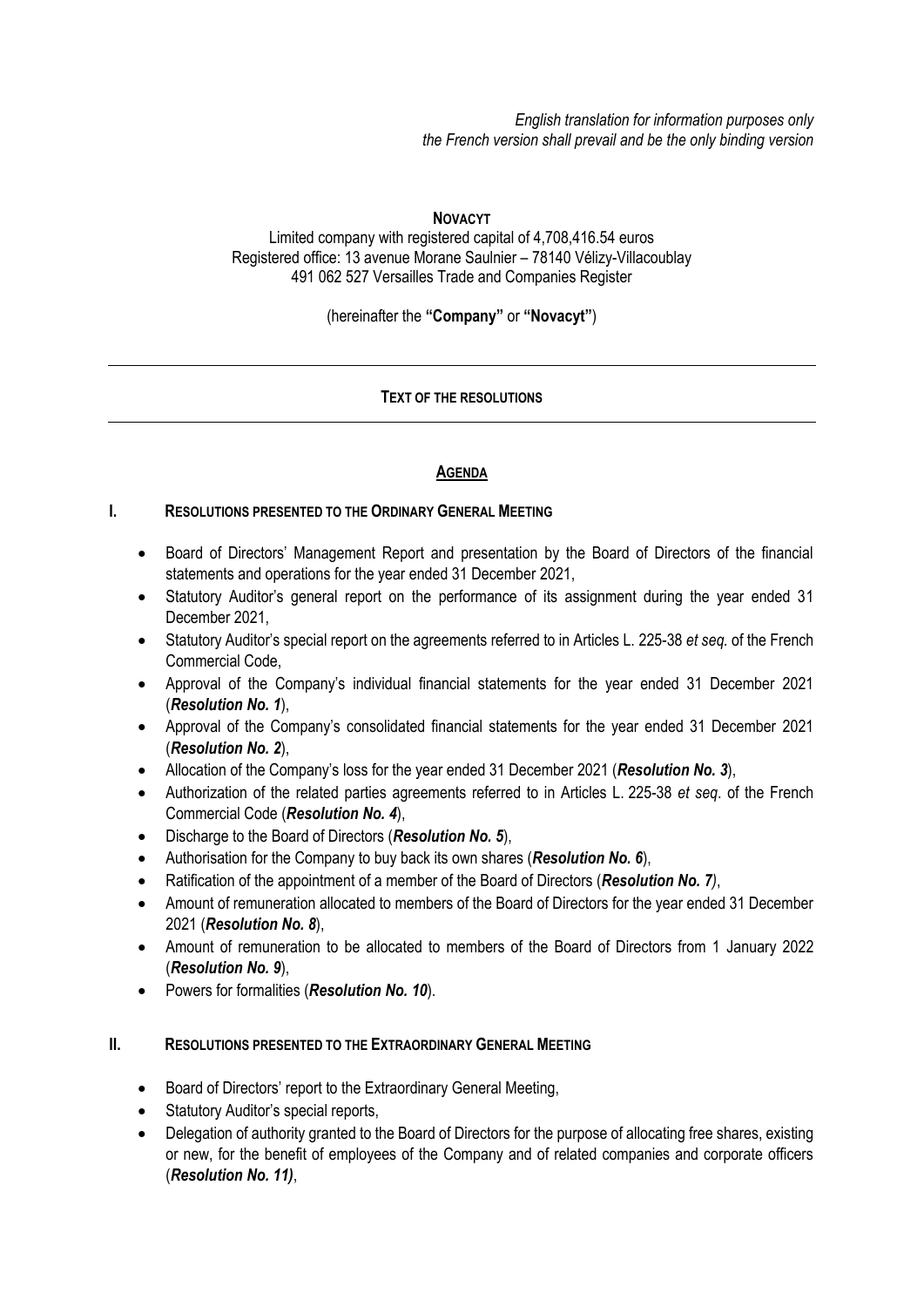*English translation for information purposes only the French version shall prevail and be the only binding version*

#### **NOVACYT**

Limited company with registered capital of 4,708,416.54 euros Registered office: 13 avenue Morane Saulnier – 78140 Vélizy-Villacoublay 491 062 527 Versailles Trade and Companies Register

(hereinafter the **"Company"** or **"Novacyt"**)

## **TEXT OF THE RESOLUTIONS**

## **AGENDA**

#### **I. RESOLUTIONS PRESENTED TO THE ORDINARY GENERAL MEETING**

- Board of Directors' Management Report and presentation by the Board of Directors of the financial statements and operations for the year ended 31 December 2021,
- Statutory Auditor's general report on the performance of its assignment during the year ended 31 December 2021,
- Statutory Auditor's special report on the agreements referred to in Articles L. 225-38 *et seq.* of the French Commercial Code,
- Approval of the Company's individual financial statements for the year ended 31 December 2021 (*Resolution No. 1*),
- Approval of the Company's consolidated financial statements for the year ended 31 December 2021 (*Resolution No. 2*),
- Allocation of the Company's loss for the year ended 31 December 2021 (*Resolution No. 3*),
- Authorization of the related parties agreements referred to in Articles L. 225-38 *et seq*. of the French Commercial Code (*Resolution No. 4*),
- Discharge to the Board of Directors (*Resolution No. 5*),
- Authorisation for the Company to buy back its own shares (*Resolution No. 6*),
- Ratification of the appointment of a member of the Board of Directors (*Resolution No. 7)*,
- Amount of remuneration allocated to members of the Board of Directors for the year ended 31 December 2021 (*Resolution No. 8*),
- Amount of remuneration to be allocated to members of the Board of Directors from 1 January 2022 (*Resolution No. 9*),
- Powers for formalities (*Resolution No. 10*).

#### **II. RESOLUTIONS PRESENTED TO THE EXTRAORDINARY GENERAL MEETING**

- Board of Directors' report to the Extraordinary General Meeting,
- Statutory Auditor's special reports,
- Delegation of authority granted to the Board of Directors for the purpose of allocating free shares, existing or new, for the benefit of employees of the Company and of related companies and corporate officers (*Resolution No. 11)*,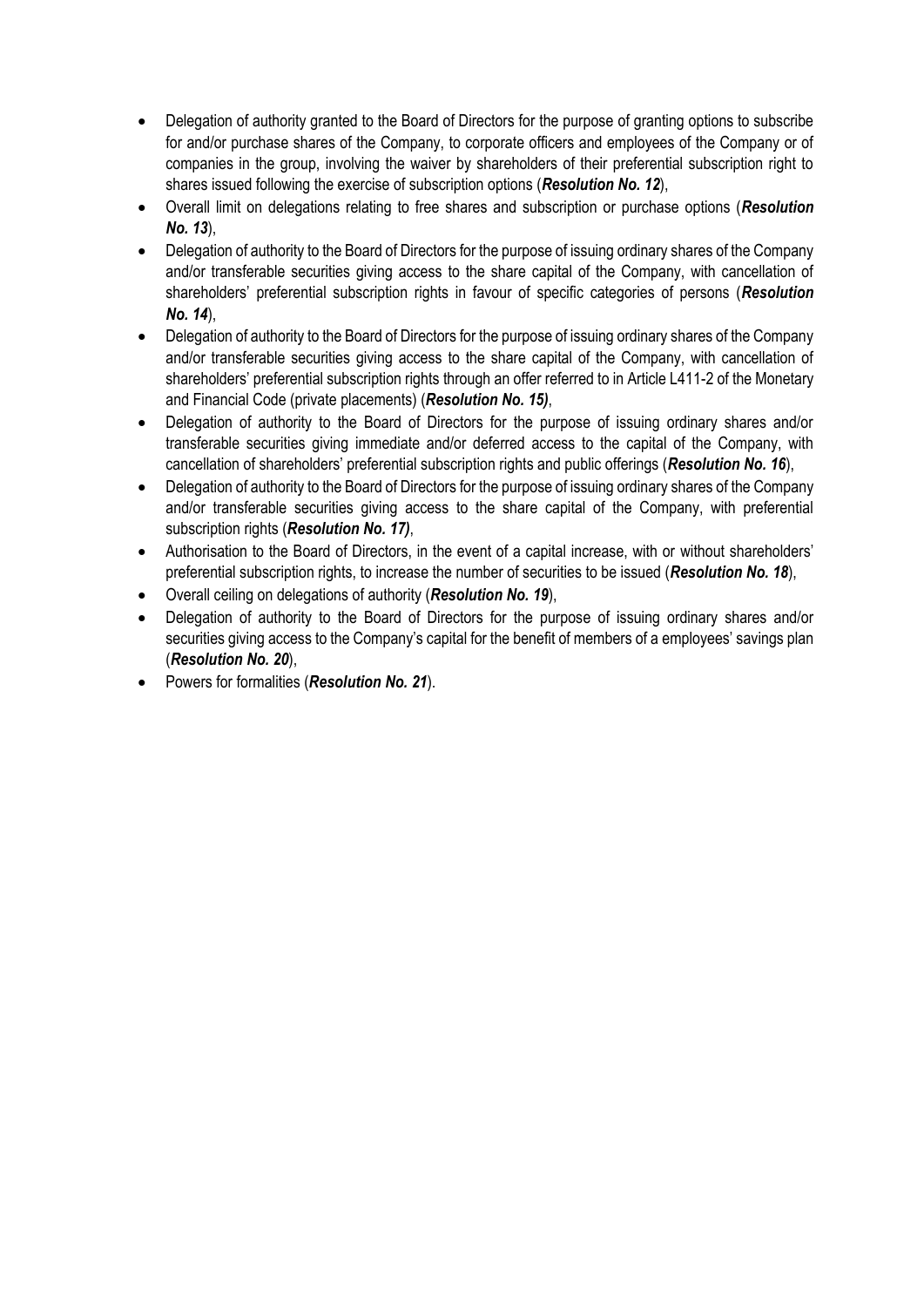- Delegation of authority granted to the Board of Directors for the purpose of granting options to subscribe for and/or purchase shares of the Company, to corporate officers and employees of the Company or of companies in the group, involving the waiver by shareholders of their preferential subscription right to shares issued following the exercise of subscription options (*Resolution No. 12*),
- Overall limit on delegations relating to free shares and subscription or purchase options (*Resolution No. 13*),
- Delegation of authority to the Board of Directors for the purpose of issuing ordinary shares of the Company and/or transferable securities giving access to the share capital of the Company, with cancellation of shareholders' preferential subscription rights in favour of specific categories of persons (*Resolution No. 14*),
- Delegation of authority to the Board of Directors for the purpose of issuing ordinary shares of the Company and/or transferable securities giving access to the share capital of the Company, with cancellation of shareholders' preferential subscription rights through an offer referred to in Article L411-2 of the Monetary and Financial Code (private placements) (*Resolution No. 15)*,
- Delegation of authority to the Board of Directors for the purpose of issuing ordinary shares and/or transferable securities giving immediate and/or deferred access to the capital of the Company, with cancellation of shareholders' preferential subscription rights and public offerings (*Resolution No. 16*),
- Delegation of authority to the Board of Directors for the purpose of issuing ordinary shares of the Company and/or transferable securities giving access to the share capital of the Company, with preferential subscription rights (*Resolution No. 17)*,
- Authorisation to the Board of Directors, in the event of a capital increase, with or without shareholders' preferential subscription rights, to increase the number of securities to be issued (*Resolution No. 18*),
- Overall ceiling on delegations of authority (*Resolution No. 19*),
- Delegation of authority to the Board of Directors for the purpose of issuing ordinary shares and/or securities giving access to the Company's capital for the benefit of members of a employees' savings plan (*Resolution No. 20*),
- Powers for formalities (*Resolution No. 21*).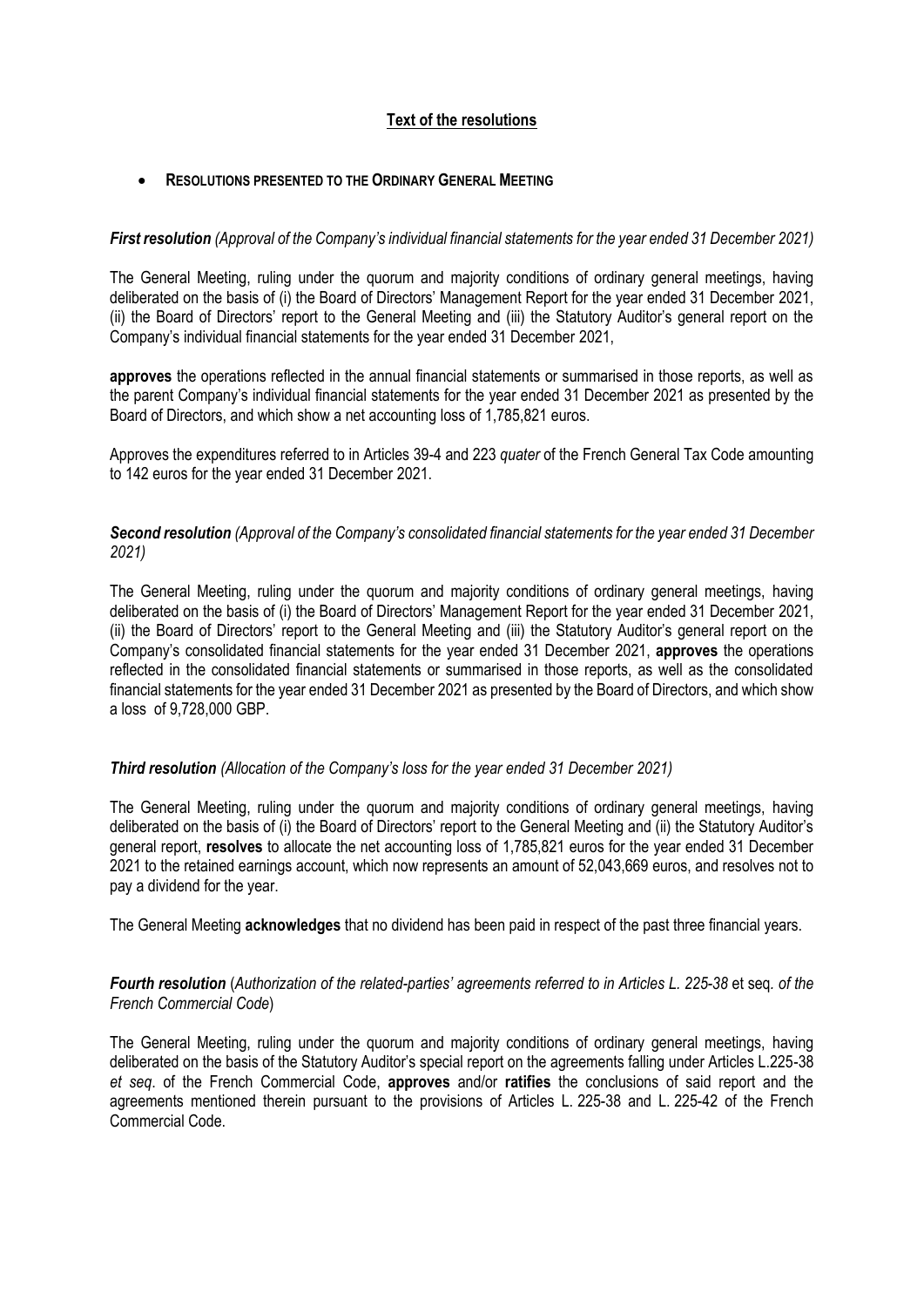# **Text of the resolutions**

#### • **RESOLUTIONS PRESENTED TO THE ORDINARY GENERAL MEETING**

#### *First resolution (Approval of the Company's individual financial statements for the year ended 31 December 2021)*

The General Meeting, ruling under the quorum and majority conditions of ordinary general meetings, having deliberated on the basis of (i) the Board of Directors' Management Report for the year ended 31 December 2021, (ii) the Board of Directors' report to the General Meeting and (iii) the Statutory Auditor's general report on the Company's individual financial statements for the year ended 31 December 2021,

**approves** the operations reflected in the annual financial statements or summarised in those reports, as well as the parent Company's individual financial statements for the year ended 31 December 2021 as presented by the Board of Directors, and which show a net accounting loss of 1,785,821 euros.

Approves the expenditures referred to in Articles 39-4 and 223 *quater* of the French General Tax Code amounting to 142 euros for the year ended 31 December 2021.

## *Second resolution (Approval of the Company's consolidated financial statements for the year ended 31 December 2021)*

The General Meeting, ruling under the quorum and majority conditions of ordinary general meetings, having deliberated on the basis of (i) the Board of Directors' Management Report for the year ended 31 December 2021, (ii) the Board of Directors' report to the General Meeting and (iii) the Statutory Auditor's general report on the Company's consolidated financial statements for the year ended 31 December 2021, **approves** the operations reflected in the consolidated financial statements or summarised in those reports, as well as the consolidated financial statements for the year ended 31 December 2021 as presented by the Board of Directors, and which show a loss of 9,728,000 GBP.

#### *Third resolution (Allocation of the Company's loss for the year ended 31 December 2021)*

The General Meeting, ruling under the quorum and majority conditions of ordinary general meetings, having deliberated on the basis of (i) the Board of Directors' report to the General Meeting and (ii) the Statutory Auditor's general report, **resolves** to allocate the net accounting loss of 1,785,821 euros for the year ended 31 December 2021 to the retained earnings account, which now represents an amount of 52,043,669 euros, and resolves not to pay a dividend for the year.

The General Meeting **acknowledges** that no dividend has been paid in respect of the past three financial years.

## *Fourth resolution* (*Authorization of the related-parties' agreements referred to in Articles L. 225-38* et seq*. of the French Commercial Code*)

The General Meeting, ruling under the quorum and majority conditions of ordinary general meetings, having deliberated on the basis of the Statutory Auditor's special report on the agreements falling under Articles L.225-38 *et seq*. of the French Commercial Code, **approves** and/or **ratifies** the conclusions of said report and the agreements mentioned therein pursuant to the provisions of Articles L. 225-38 and L. 225-42 of the French Commercial Code.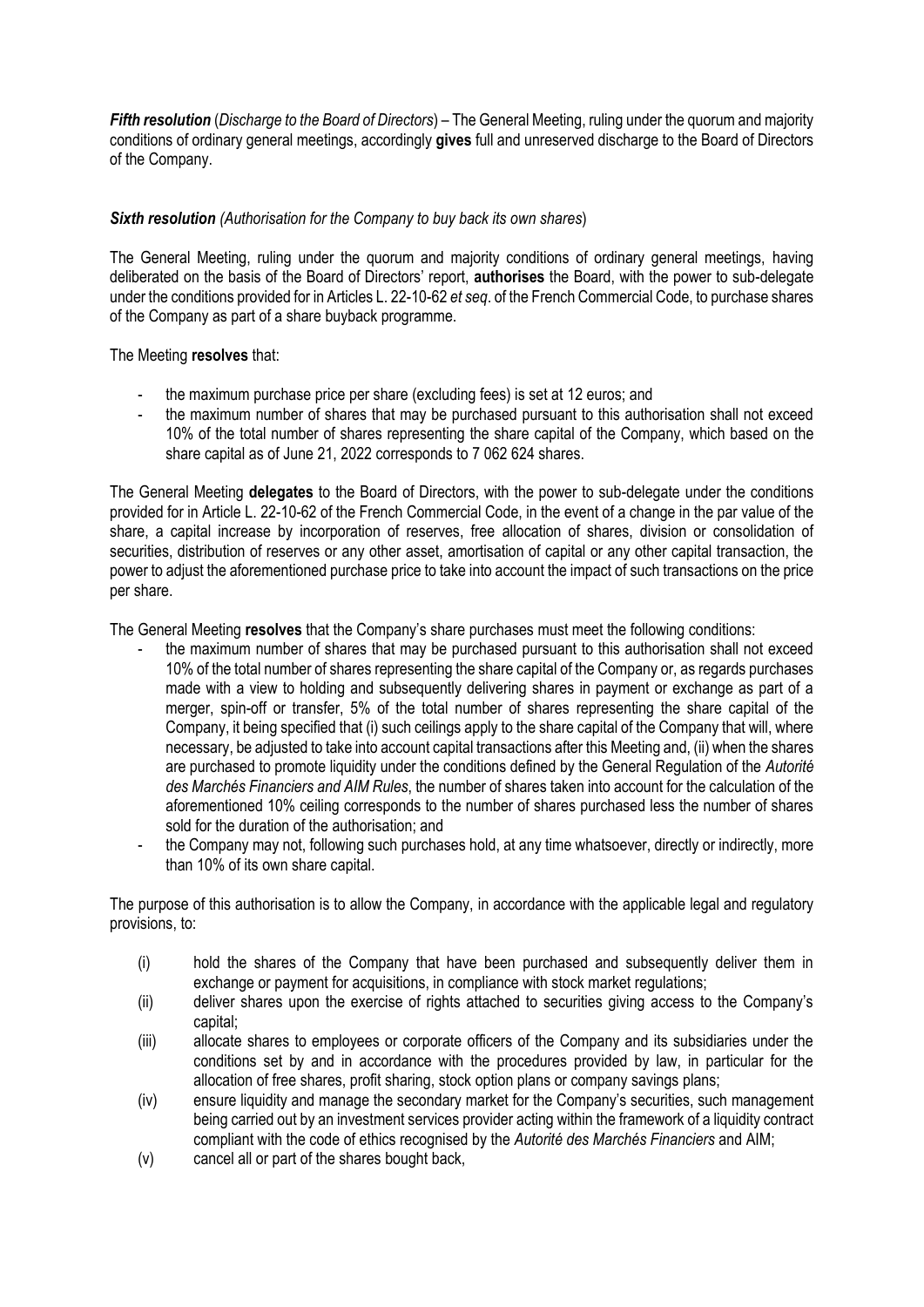*Fifth resolution* (*Discharge to the Board of Directors*) – The General Meeting, ruling under the quorum and majority conditions of ordinary general meetings, accordingly **gives** full and unreserved discharge to the Board of Directors of the Company.

# *Sixth resolution (Authorisation for the Company to buy back its own shares*)

The General Meeting, ruling under the quorum and majority conditions of ordinary general meetings, having deliberated on the basis of the Board of Directors' report, **authorises** the Board, with the power to sub-delegate under the conditions provided for in Articles L. 22-10-62 *et seq*. of the French Commercial Code, to purchase shares of the Company as part of a share buyback programme.

## The Meeting **resolves** that:

- the maximum purchase price per share (excluding fees) is set at 12 euros; and
- the maximum number of shares that may be purchased pursuant to this authorisation shall not exceed 10% of the total number of shares representing the share capital of the Company, which based on the share capital as of June 21, 2022 corresponds to 7 062 624 shares.

The General Meeting **delegates** to the Board of Directors, with the power to sub-delegate under the conditions provided for in Article L. 22-10-62 of the French Commercial Code, in the event of a change in the par value of the share, a capital increase by incorporation of reserves, free allocation of shares, division or consolidation of securities, distribution of reserves or any other asset, amortisation of capital or any other capital transaction, the power to adjust the aforementioned purchase price to take into account the impact of such transactions on the price per share.

The General Meeting **resolves** that the Company's share purchases must meet the following conditions:

- the maximum number of shares that may be purchased pursuant to this authorisation shall not exceed 10% of the total number of shares representing the share capital of the Company or, as regards purchases made with a view to holding and subsequently delivering shares in payment or exchange as part of a merger, spin-off or transfer, 5% of the total number of shares representing the share capital of the Company, it being specified that (i) such ceilings apply to the share capital of the Company that will, where necessary, be adjusted to take into account capital transactions after this Meeting and, (ii) when the shares are purchased to promote liquidity under the conditions defined by the General Regulation of the *Autorité des Marchés Financiers and AIM Rules*, the number of shares taken into account for the calculation of the aforementioned 10% ceiling corresponds to the number of shares purchased less the number of shares sold for the duration of the authorisation; and
- the Company may not, following such purchases hold, at any time whatsoever, directly or indirectly, more than 10% of its own share capital.

The purpose of this authorisation is to allow the Company, in accordance with the applicable legal and regulatory provisions, to:

- (i) hold the shares of the Company that have been purchased and subsequently deliver them in exchange or payment for acquisitions, in compliance with stock market regulations;
- (ii) deliver shares upon the exercise of rights attached to securities giving access to the Company's capital;
- (iii) allocate shares to employees or corporate officers of the Company and its subsidiaries under the conditions set by and in accordance with the procedures provided by law, in particular for the allocation of free shares, profit sharing, stock option plans or company savings plans;
- (iv) ensure liquidity and manage the secondary market for the Company's securities, such management being carried out by an investment services provider acting within the framework of a liquidity contract compliant with the code of ethics recognised by the *Autorité des Marchés Financiers* and AIM;
- (v) cancel all or part of the shares bought back,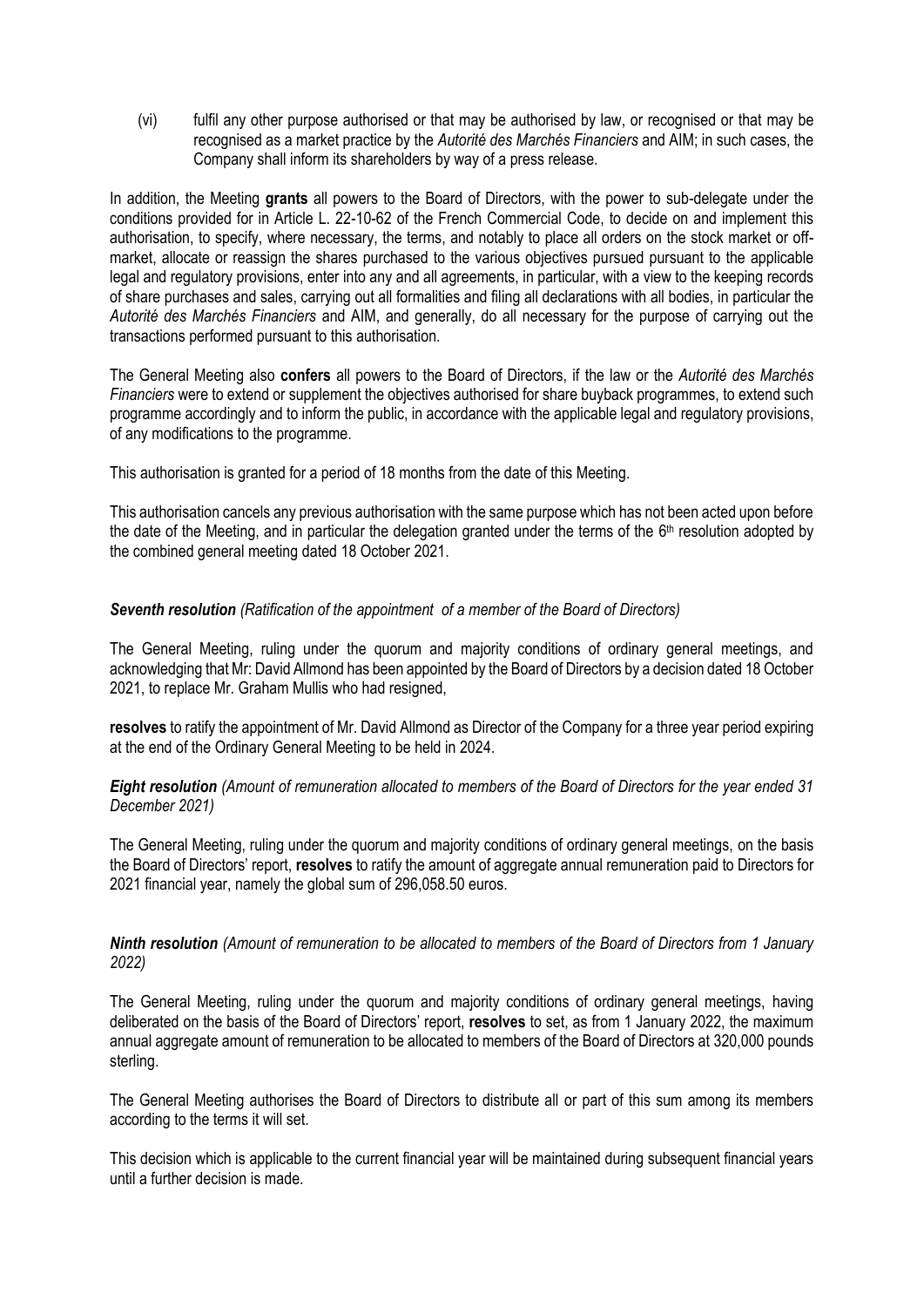(vi) fulfil any other purpose authorised or that may be authorised by law, or recognised or that may be recognised as a market practice by the *Autorité des Marchés Financiers* and AIM; in such cases, the Company shall inform its shareholders by way of a press release.

In addition, the Meeting **grants** all powers to the Board of Directors, with the power to sub-delegate under the conditions provided for in Article L. 22-10-62 of the French Commercial Code, to decide on and implement this authorisation, to specify, where necessary, the terms, and notably to place all orders on the stock market or offmarket, allocate or reassign the shares purchased to the various objectives pursued pursuant to the applicable legal and regulatory provisions, enter into any and all agreements, in particular, with a view to the keeping records of share purchases and sales, carrying out all formalities and filing all declarations with all bodies, in particular the *Autorité des Marchés Financiers* and AIM, and generally, do all necessary for the purpose of carrying out the transactions performed pursuant to this authorisation.

The General Meeting also **confers** all powers to the Board of Directors, if the law or the *Autorité des Marchés Financiers* were to extend or supplement the objectives authorised for share buyback programmes, to extend such programme accordingly and to inform the public, in accordance with the applicable legal and regulatory provisions, of any modifications to the programme.

This authorisation is granted for a period of 18 months from the date of this Meeting.

This authorisation cancels any previous authorisation with the same purpose which has not been acted upon before the date of the Meeting, and in particular the delegation granted under the terms of the 6<sup>th</sup> resolution adopted by the combined general meeting dated 18 October 2021.

# *Seventh resolution (Ratification of the appointment of a member of the Board of Directors)*

The General Meeting, ruling under the quorum and majority conditions of ordinary general meetings, and acknowledging that Mr: David Allmond has been appointed by the Board of Directors by a decision dated 18 October 2021, to replace Mr. Graham Mullis who had resigned,

**resolves** to ratify the appointment of Mr. David Allmond as Director of the Company for a three year period expiring at the end of the Ordinary General Meeting to be held in 2024.

*Eight resolution (Amount of remuneration allocated to members of the Board of Directors for the year ended 31 December 2021)*

The General Meeting, ruling under the quorum and majority conditions of ordinary general meetings, on the basis the Board of Directors' report, **resolves** to ratify the amount of aggregate annual remuneration paid to Directors for 2021 financial year, namely the global sum of 296,058.50 euros.

## *Ninth resolution (Amount of remuneration to be allocated to members of the Board of Directors from 1 January 2022)*

The General Meeting, ruling under the quorum and majority conditions of ordinary general meetings, having deliberated on the basis of the Board of Directors' report, **resolves** to set, as from 1 January 2022, the maximum annual aggregate amount of remuneration to be allocated to members of the Board of Directors at 320,000 pounds sterling.

The General Meeting authorises the Board of Directors to distribute all or part of this sum among its members according to the terms it will set.

This decision which is applicable to the current financial year will be maintained during subsequent financial years until a further decision is made.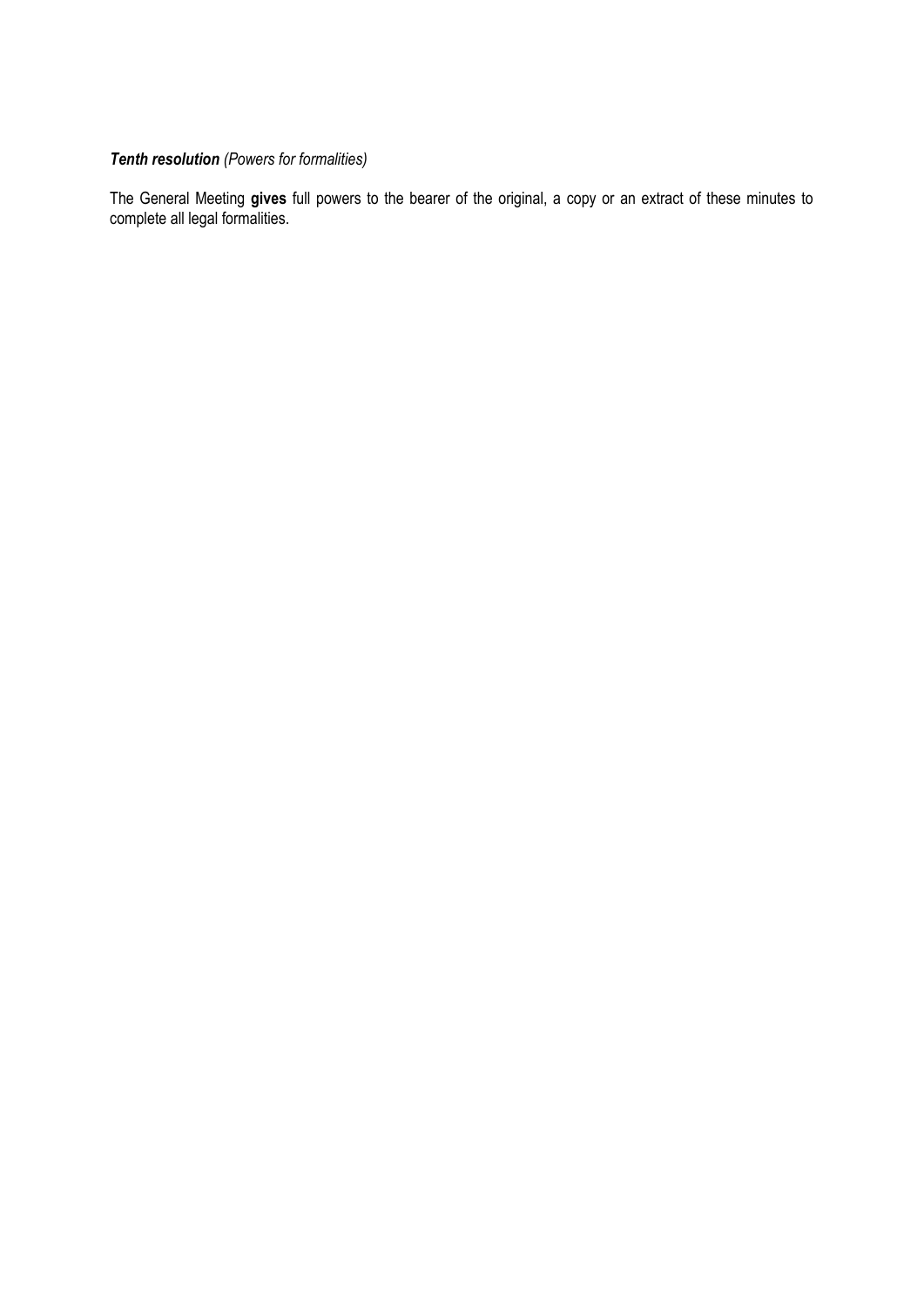# *Tenth resolution (Powers for formalities)*

The General Meeting **gives** full powers to the bearer of the original, a copy or an extract of these minutes to complete all legal formalities.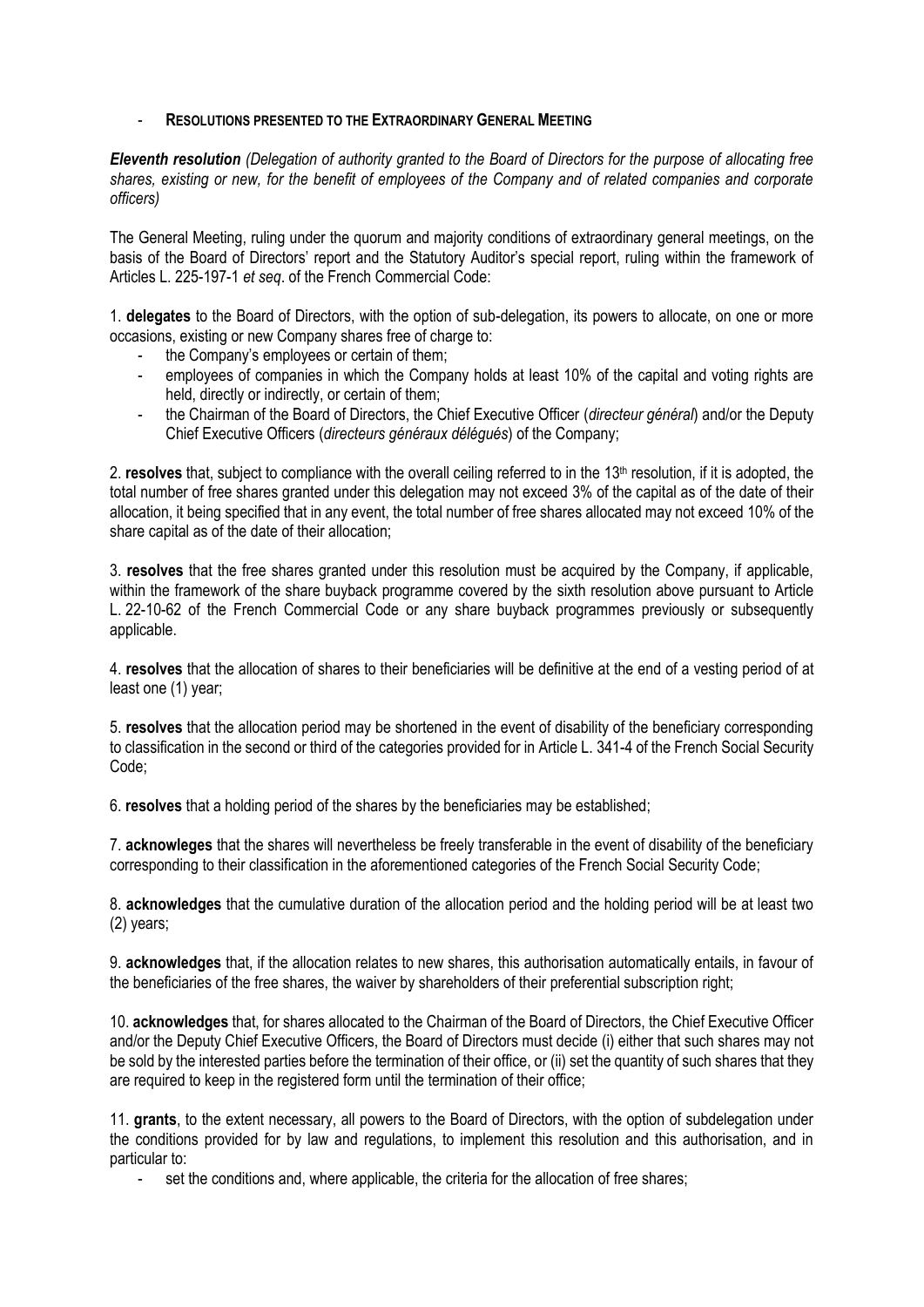#### - **RESOLUTIONS PRESENTED TO THE EXTRAORDINARY GENERAL MEETING**

*Eleventh resolution (Delegation of authority granted to the Board of Directors for the purpose of allocating free shares, existing or new, for the benefit of employees of the Company and of related companies and corporate officers)*

The General Meeting, ruling under the quorum and majority conditions of extraordinary general meetings, on the basis of the Board of Directors' report and the Statutory Auditor's special report, ruling within the framework of Articles L. 225-197-1 *et seq*. of the French Commercial Code:

1. **delegates** to the Board of Directors, with the option of sub-delegation, its powers to allocate, on one or more occasions, existing or new Company shares free of charge to:

- the Company's employees or certain of them;
- employees of companies in which the Company holds at least 10% of the capital and voting rights are held, directly or indirectly, or certain of them;
- the Chairman of the Board of Directors, the Chief Executive Officer (*directeur général*) and/or the Deputy Chief Executive Officers (*directeurs généraux délégués*) of the Company;

2. **resolves** that, subject to compliance with the overall ceiling referred to in the 13<sup>th</sup> resolution, if it is adopted, the total number of free shares granted under this delegation may not exceed 3% of the capital as of the date of their allocation, it being specified that in any event, the total number of free shares allocated may not exceed 10% of the share capital as of the date of their allocation;

3. **resolves** that the free shares granted under this resolution must be acquired by the Company, if applicable, within the framework of the share buyback programme covered by the sixth resolution above pursuant to Article L. 22-10-62 of the French Commercial Code or any share buyback programmes previously or subsequently applicable.

4. **resolves** that the allocation of shares to their beneficiaries will be definitive at the end of a vesting period of at least one (1) year;

5. **resolves** that the allocation period may be shortened in the event of disability of the beneficiary corresponding to classification in the second or third of the categories provided for in Article L. [341-4 of the French Social Security](https://www.legifrance.gouv.fr/affichCodeArticle.do?cidTexte=LEGITEXT000006073189&idArticle=LEGIARTI000006742597&dateTexte=&categorieLien=cid)  [Code;](https://www.legifrance.gouv.fr/affichCodeArticle.do?cidTexte=LEGITEXT000006073189&idArticle=LEGIARTI000006742597&dateTexte=&categorieLien=cid)

6. **resolves** that a holding period of the shares by the beneficiaries may be established;

7. **acknowleges** that the shares will nevertheless be freely transferable in the event of disability of the beneficiary corresponding to their classification in the aforementioned categories of the French Social Security Code;

8. **acknowledges** that the cumulative duration of the allocation period and the holding period will be at least two (2) years;

9. **acknowledges** that, if the allocation relates to new shares, this authorisation automatically entails, in favour of the beneficiaries of the free shares, the waiver by shareholders of their preferential subscription right;

10. **acknowledges** that, for shares allocated to the Chairman of the Board of Directors, the Chief Executive Officer and/or the Deputy Chief Executive Officers, the Board of Directors must decide (i) either that such shares may not be sold by the interested parties before the termination of their office, or (ii) set the quantity of such shares that they are required to keep in the registered form until the termination of their office;

11. **grants**, to the extent necessary, all powers to the Board of Directors, with the option of subdelegation under the conditions provided for by law and regulations, to implement this resolution and this authorisation, and in particular to:

set the conditions and, where applicable, the criteria for the allocation of free shares;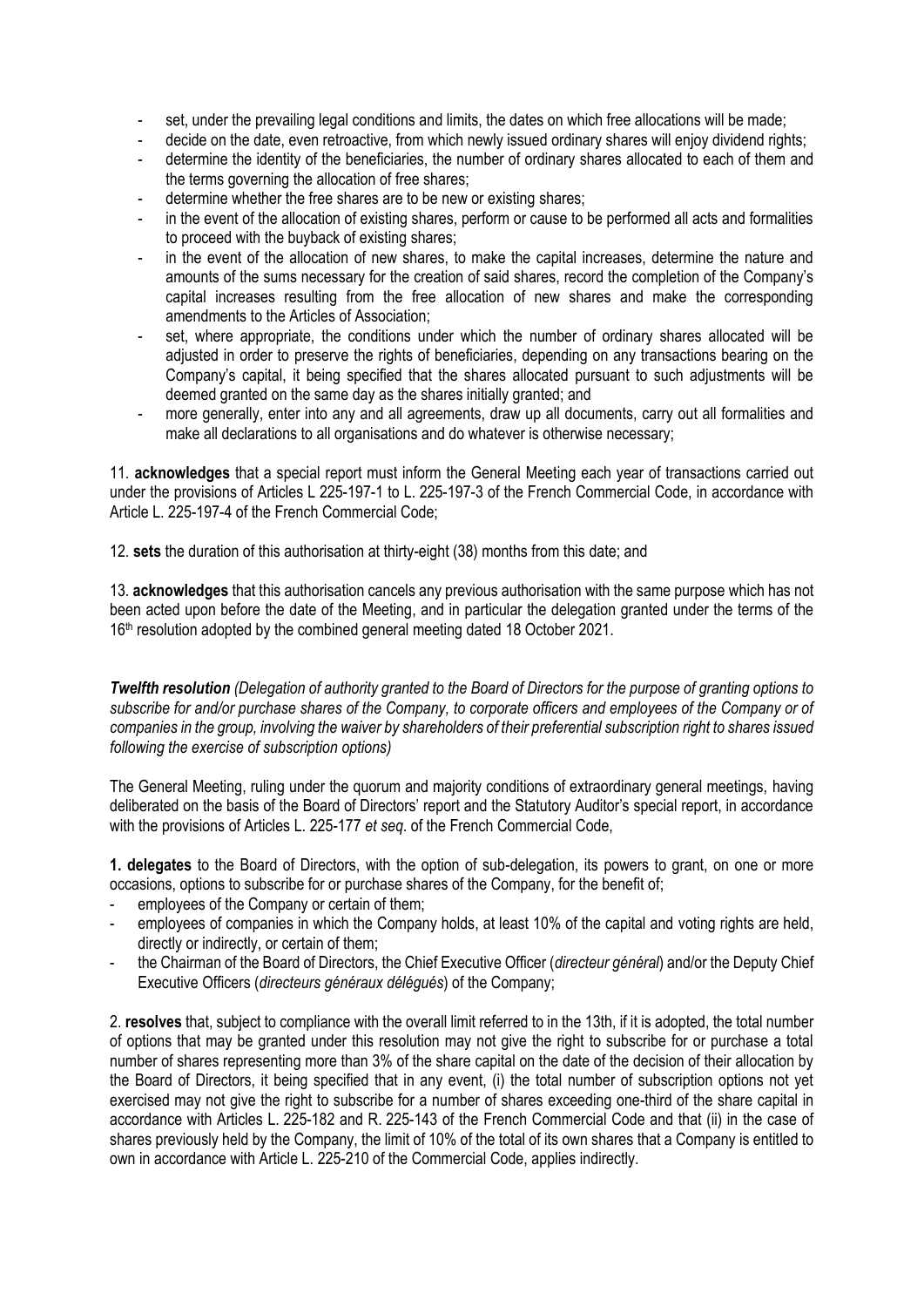- set, under the prevailing legal conditions and limits, the dates on which free allocations will be made;
- decide on the date, even retroactive, from which newly issued ordinary shares will enjoy dividend rights;
- determine the identity of the beneficiaries, the number of ordinary shares allocated to each of them and the terms governing the allocation of free shares;
- determine whether the free shares are to be new or existing shares;
- in the event of the allocation of existing shares, perform or cause to be performed all acts and formalities to proceed with the buyback of existing shares;
- in the event of the allocation of new shares, to make the capital increases, determine the nature and amounts of the sums necessary for the creation of said shares, record the completion of the Company's capital increases resulting from the free allocation of new shares and make the corresponding amendments to the Articles of Association;
- set, where appropriate, the conditions under which the number of ordinary shares allocated will be adjusted in order to preserve the rights of beneficiaries, depending on any transactions bearing on the Company's capital, it being specified that the shares allocated pursuant to such adjustments will be deemed granted on the same day as the shares initially granted; and
- more generally, enter into any and all agreements, draw up all documents, carry out all formalities and make all declarations to all organisations and do whatever is otherwise necessary;

11. **acknowledges** that a special report must inform the General Meeting each year of transactions carried out under the provisions of Articles L 225-197-1 to L. 225-197-3 of the French Commercial Code, in accordance with Article L. 225-197-4 of the French Commercial Code;

12. **sets** the duration of this authorisation at thirty-eight (38) months from this date; and

13. **acknowledges** that this authorisation cancels any previous authorisation with the same purpose which has not been acted upon before the date of the Meeting, and in particular the delegation granted under the terms of the 16<sup>th</sup> resolution adopted by the combined general meeting dated 18 October 2021.

*Twelfth resolution (Delegation of authority granted to the Board of Directors for the purpose of granting options to subscribe for and/or purchase shares of the Company, to corporate officers and employees of the Company or of companies in the group, involving the waiver by shareholders of their preferential subscription right to shares issued following the exercise of subscription options)*

The General Meeting, ruling under the quorum and majority conditions of extraordinary general meetings, having deliberated on the basis of the Board of Directors' report and the Statutory Auditor's special report, in accordance with the provisions of Articles L. 225-177 *et seq*. of the French Commercial Code,

**1. delegates** to the Board of Directors, with the option of sub-delegation, its powers to grant, on one or more occasions, options to subscribe for or purchase shares of the Company, for the benefit of;

- employees of the Company or certain of them;
- employees of companies in which the Company holds, at least 10% of the capital and voting rights are held, directly or indirectly, or certain of them;
- the Chairman of the Board of Directors, the Chief Executive Officer (*directeur général*) and/or the Deputy Chief Executive Officers (*directeurs généraux délégués*) of the Company;

2. **resolves** that, subject to compliance with the overall limit referred to in the 13th, if it is adopted, the total number of options that may be granted under this resolution may not give the right to subscribe for or purchase a total number of shares representing more than 3% of the share capital on the date of the decision of their allocation by the Board of Directors, it being specified that in any event, (i) the total number of subscription options not yet exercised may not give the right to subscribe for a number of shares exceeding one-third of the share capital in accordance with Articles L. 225-182 and R. 225-143 of the French Commercial Code and that (ii) in the case of shares previously held by the Company, the limit of 10% of the total of its own shares that a Company is entitled to own in accordance with Article L. 225-210 of the Commercial Code, applies indirectly.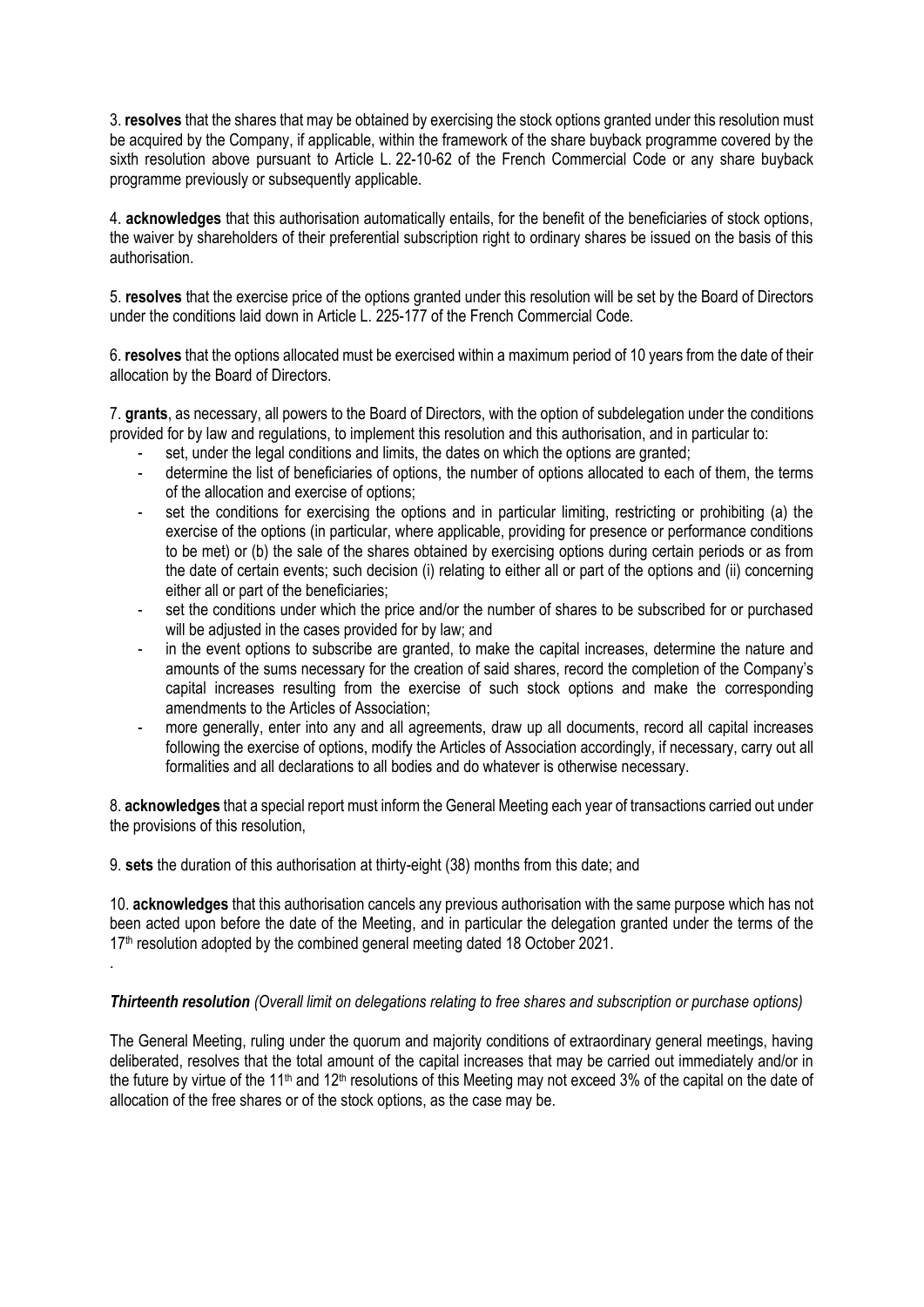3. **resolves** that the shares that may be obtained by exercising the stock options granted under this resolution must be acquired by the Company, if applicable, within the framework of the share buyback programme covered by the sixth resolution above pursuant to Article L. 22-10-62 of the French Commercial Code or any share buyback programme previously or subsequently applicable.

4. **acknowledges** that this authorisation automatically entails, for the benefit of the beneficiaries of stock options, the waiver by shareholders of their preferential subscription right to ordinary shares be issued on the basis of this authorisation.

5. **resolves** that the exercise price of the options granted under this resolution will be set by the Board of Directors under the conditions laid down in Article L. 225-177 of the French Commercial Code.

6. **resolves** that the options allocated must be exercised within a maximum period of 10 years from the date of their allocation by the Board of Directors.

7. **grants**, as necessary, all powers to the Board of Directors, with the option of subdelegation under the conditions provided for by law and regulations, to implement this resolution and this authorisation, and in particular to:

- set, under the legal conditions and limits, the dates on which the options are granted;
- determine the list of beneficiaries of options, the number of options allocated to each of them, the terms of the allocation and exercise of options;
- set the conditions for exercising the options and in particular limiting, restricting or prohibiting (a) the exercise of the options (in particular, where applicable, providing for presence or performance conditions to be met) or (b) the sale of the shares obtained by exercising options during certain periods or as from the date of certain events; such decision (i) relating to either all or part of the options and (ii) concerning either all or part of the beneficiaries;
- set the conditions under which the price and/or the number of shares to be subscribed for or purchased will be adjusted in the cases provided for by law; and
- in the event options to subscribe are granted, to make the capital increases, determine the nature and amounts of the sums necessary for the creation of said shares, record the completion of the Company's capital increases resulting from the exercise of such stock options and make the corresponding amendments to the Articles of Association;
- more generally, enter into any and all agreements, draw up all documents, record all capital increases following the exercise of options, modify the Articles of Association accordingly, if necessary, carry out all formalities and all declarations to all bodies and do whatever is otherwise necessary.

8. **acknowledges** that a special report must inform the General Meeting each year of transactions carried out under the provisions of this resolution,

9. **sets** the duration of this authorisation at thirty-eight (38) months from this date; and

.

10. **acknowledges** that this authorisation cancels any previous authorisation with the same purpose which has not been acted upon before the date of the Meeting, and in particular the delegation granted under the terms of the 17<sup>th</sup> resolution adopted by the combined general meeting dated 18 October 2021.

#### *Thirteenth resolution (Overall limit on delegations relating to free shares and subscription or purchase options)*

The General Meeting, ruling under the quorum and majority conditions of extraordinary general meetings, having deliberated, resolves that the total amount of the capital increases that may be carried out immediately and/or in the future by virtue of the 11<sup>th</sup> and 12<sup>th</sup> resolutions of this Meeting may not exceed 3% of the capital on the date of allocation of the free shares or of the stock options, as the case may be.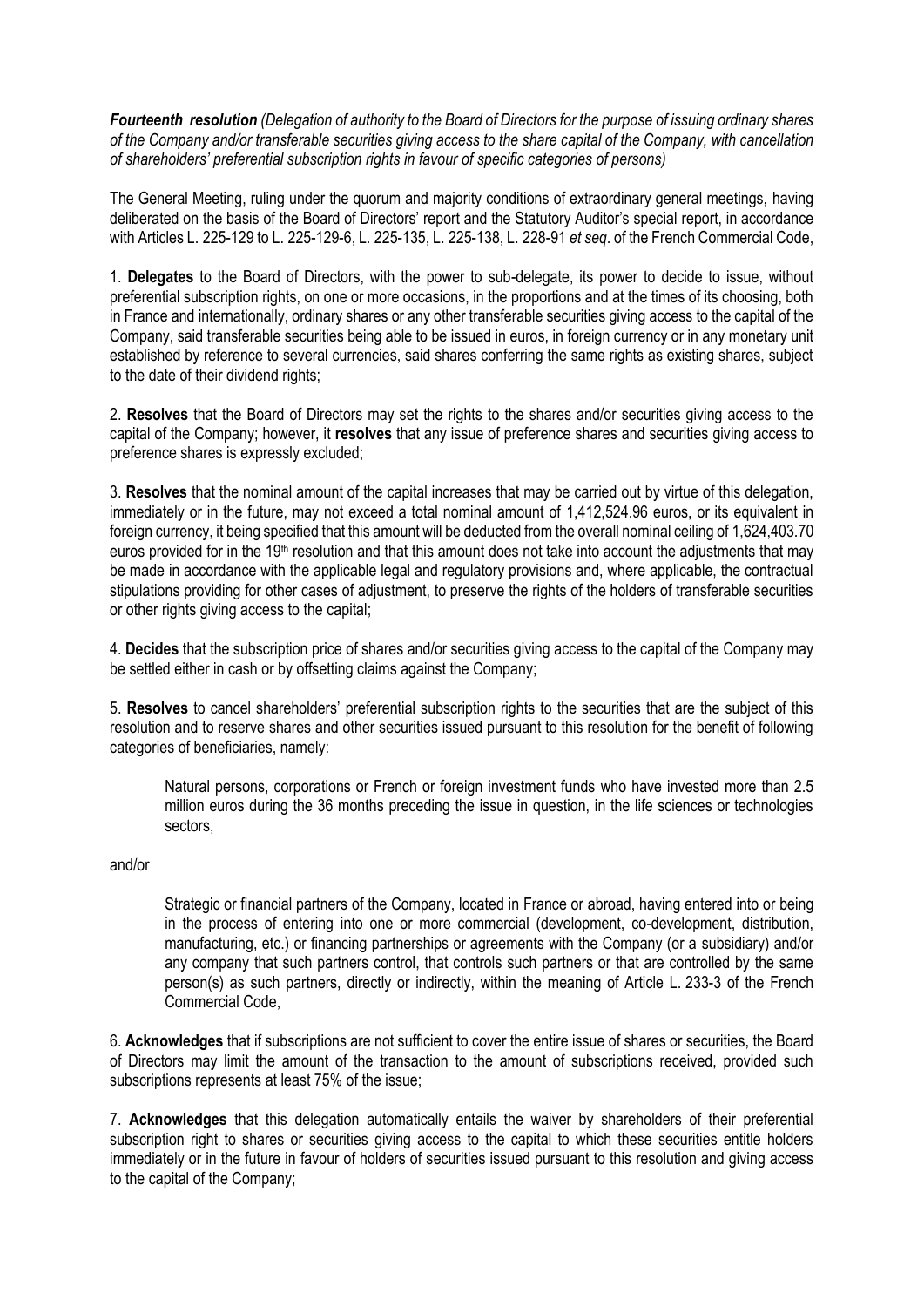*Fourteenth resolution (Delegation of authority to the Board of Directors for the purpose of issuing ordinary shares of the Company and/or transferable securities giving access to the share capital of the Company, with cancellation of shareholders' preferential subscription rights in favour of specific categories of persons)*

The General Meeting, ruling under the quorum and majority conditions of extraordinary general meetings, having deliberated on the basis of the Board of Directors' report and the Statutory Auditor's special report, in accordance with Articles L. 225-129 to L. 225-129-6, L. 225-135, L. 225-138, L. 228-91 *et seq*. of the French Commercial Code,

1. **Delegates** to the Board of Directors, with the power to sub-delegate, its power to decide to issue, without preferential subscription rights, on one or more occasions, in the proportions and at the times of its choosing, both in France and internationally, ordinary shares or any other transferable securities giving access to the capital of the Company, said transferable securities being able to be issued in euros, in foreign currency or in any monetary unit established by reference to several currencies, said shares conferring the same rights as existing shares, subject to the date of their dividend rights;

2. **Resolves** that the Board of Directors may set the rights to the shares and/or securities giving access to the capital of the Company; however, it **resolves** that any issue of preference shares and securities giving access to preference shares is expressly excluded;

3. **Resolves** that the nominal amount of the capital increases that may be carried out by virtue of this delegation, immediately or in the future, may not exceed a total nominal amount of 1,412,524.96 euros, or its equivalent in foreign currency, it being specified that this amount will be deducted from the overall nominal ceiling of 1,624,403.70 euros provided for in the 19<sup>th</sup> resolution and that this amount does not take into account the adjustments that may be made in accordance with the applicable legal and regulatory provisions and, where applicable, the contractual stipulations providing for other cases of adjustment, to preserve the rights of the holders of transferable securities or other rights giving access to the capital;

4. **Decides** that the subscription price of shares and/or securities giving access to the capital of the Company may be settled either in cash or by offsetting claims against the Company;

5. **Resolves** to cancel shareholders' preferential subscription rights to the securities that are the subject of this resolution and to reserve shares and other securities issued pursuant to this resolution for the benefit of following categories of beneficiaries, namely:

Natural persons, corporations or French or foreign investment funds who have invested more than 2.5 million euros during the 36 months preceding the issue in question, in the life sciences or technologies sectors,

#### and/or

Strategic or financial partners of the Company, located in France or abroad, having entered into or being in the process of entering into one or more commercial (development, co-development, distribution, manufacturing, etc.) or financing partnerships or agreements with the Company (or a subsidiary) and/or any company that such partners control, that controls such partners or that are controlled by the same person(s) as such partners, directly or indirectly, within the meaning of Article L. 233-3 of the French Commercial Code,

6. **Acknowledges** that if subscriptions are not sufficient to cover the entire issue of shares or securities, the Board of Directors may limit the amount of the transaction to the amount of subscriptions received, provided such subscriptions represents at least 75% of the issue;

7. **Acknowledges** that this delegation automatically entails the waiver by shareholders of their preferential subscription right to shares or securities giving access to the capital to which these securities entitle holders immediately or in the future in favour of holders of securities issued pursuant to this resolution and giving access to the capital of the Company;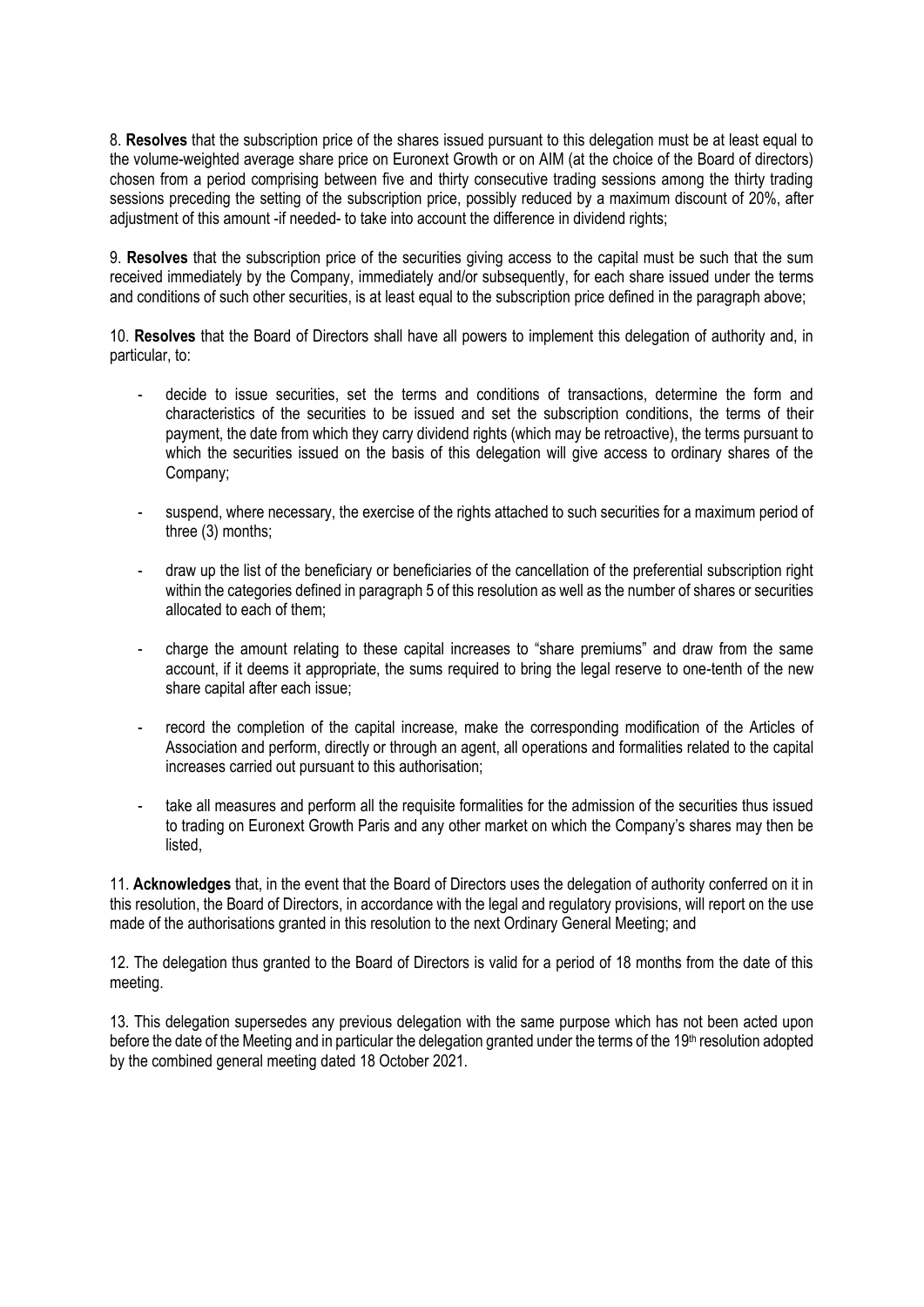8. **Resolves** that the subscription price of the shares issued pursuant to this delegation must be at least equal to the volume-weighted average share price on Euronext Growth or on AIM (at the choice of the Board of directors) chosen from a period comprising between five and thirty consecutive trading sessions among the thirty trading sessions preceding the setting of the subscription price, possibly reduced by a maximum discount of 20%, after adjustment of this amount -if needed- to take into account the difference in dividend rights;

9. **Resolves** that the subscription price of the securities giving access to the capital must be such that the sum received immediately by the Company, immediately and/or subsequently, for each share issued under the terms and conditions of such other securities, is at least equal to the subscription price defined in the paragraph above;

10. **Resolves** that the Board of Directors shall have all powers to implement this delegation of authority and, in particular, to:

- decide to issue securities, set the terms and conditions of transactions, determine the form and characteristics of the securities to be issued and set the subscription conditions, the terms of their payment, the date from which they carry dividend rights (which may be retroactive), the terms pursuant to which the securities issued on the basis of this delegation will give access to ordinary shares of the Company;
- suspend, where necessary, the exercise of the rights attached to such securities for a maximum period of three (3) months;
- draw up the list of the beneficiary or beneficiaries of the cancellation of the preferential subscription right within the categories defined in paragraph 5 of this resolution as well as the number of shares or securities allocated to each of them;
- charge the amount relating to these capital increases to "share premiums" and draw from the same account, if it deems it appropriate, the sums required to bring the legal reserve to one-tenth of the new share capital after each issue;
- record the completion of the capital increase, make the corresponding modification of the Articles of Association and perform, directly or through an agent, all operations and formalities related to the capital increases carried out pursuant to this authorisation;
- take all measures and perform all the requisite formalities for the admission of the securities thus issued to trading on Euronext Growth Paris and any other market on which the Company's shares may then be listed,

11. **Acknowledges** that, in the event that the Board of Directors uses the delegation of authority conferred on it in this resolution, the Board of Directors, in accordance with the legal and regulatory provisions, will report on the use made of the authorisations granted in this resolution to the next Ordinary General Meeting; and

12. The delegation thus granted to the Board of Directors is valid for a period of 18 months from the date of this meeting.

13. This delegation supersedes any previous delegation with the same purpose which has not been acted upon before the date of the Meeting and in particular the delegation granted under the terms of the 19<sup>th</sup> resolution adopted by the combined general meeting dated 18 October 2021.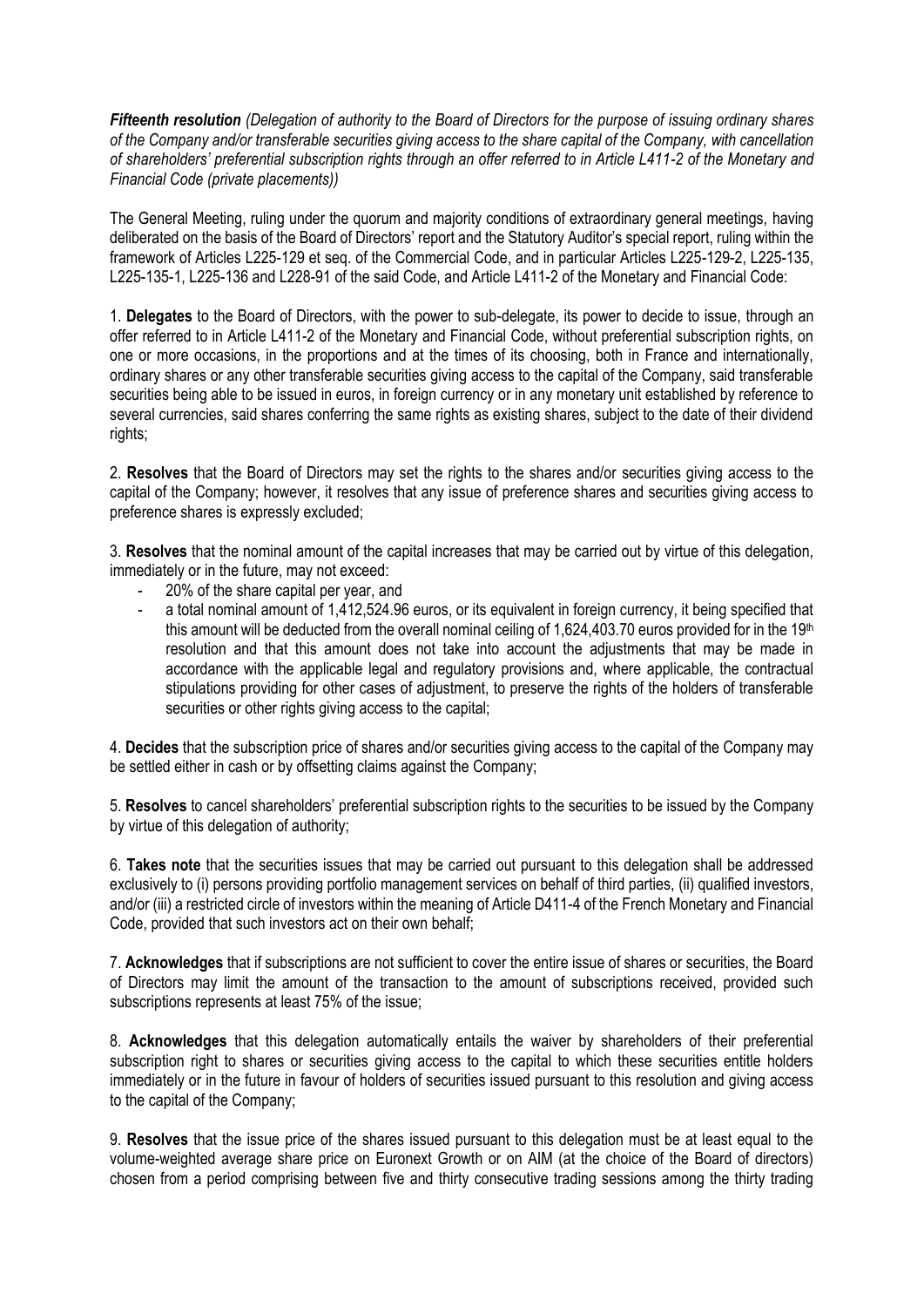*Fifteenth resolution (Delegation of authority to the Board of Directors for the purpose of issuing ordinary shares of the Company and/or transferable securities giving access to the share capital of the Company, with cancellation of shareholders' preferential subscription rights through an offer referred to in Article L411-2 of the Monetary and Financial Code (private placements))*

The General Meeting, ruling under the quorum and majority conditions of extraordinary general meetings, having deliberated on the basis of the Board of Directors' report and the Statutory Auditor's special report, ruling within the framework of Articles L225-129 et seq. of the Commercial Code, and in particular Articles L225-129-2, L225-135, L225-135-1, L225-136 and L228-91 of the said Code, and Article L411-2 of the Monetary and Financial Code:

1. **Delegates** to the Board of Directors, with the power to sub-delegate, its power to decide to issue, through an offer referred to in Article L411-2 of the Monetary and Financial Code, without preferential subscription rights, on one or more occasions, in the proportions and at the times of its choosing, both in France and internationally, ordinary shares or any other transferable securities giving access to the capital of the Company, said transferable securities being able to be issued in euros, in foreign currency or in any monetary unit established by reference to several currencies, said shares conferring the same rights as existing shares, subject to the date of their dividend rights;

2. **Resolves** that the Board of Directors may set the rights to the shares and/or securities giving access to the capital of the Company; however, it resolves that any issue of preference shares and securities giving access to preference shares is expressly excluded;

3. **Resolves** that the nominal amount of the capital increases that may be carried out by virtue of this delegation, immediately or in the future, may not exceed:

- 20% of the share capital per year, and
- a total nominal amount of 1,412,524.96 euros, or its equivalent in foreign currency, it being specified that this amount will be deducted from the overall nominal ceiling of 1,624,403.70 euros provided for in the 19th resolution and that this amount does not take into account the adjustments that may be made in accordance with the applicable legal and regulatory provisions and, where applicable, the contractual stipulations providing for other cases of adjustment, to preserve the rights of the holders of transferable securities or other rights giving access to the capital;

4. **Decides** that the subscription price of shares and/or securities giving access to the capital of the Company may be settled either in cash or by offsetting claims against the Company;

5. **Resolves** to cancel shareholders' preferential subscription rights to the securities to be issued by the Company by virtue of this delegation of authority;

6. **Takes note** that the securities issues that may be carried out pursuant to this delegation shall be addressed exclusively to (i) persons providing portfolio management services on behalf of third parties, (ii) qualified investors, and/or (iii) a restricted circle of investors within the meaning of Article D411-4 of the French Monetary and Financial Code, provided that such investors act on their own behalf;

7. **Acknowledges** that if subscriptions are not sufficient to cover the entire issue of shares or securities, the Board of Directors may limit the amount of the transaction to the amount of subscriptions received, provided such subscriptions represents at least 75% of the issue;

8. **Acknowledges** that this delegation automatically entails the waiver by shareholders of their preferential subscription right to shares or securities giving access to the capital to which these securities entitle holders immediately or in the future in favour of holders of securities issued pursuant to this resolution and giving access to the capital of the Company;

9. **Resolves** that the issue price of the shares issued pursuant to this delegation must be at least equal to the volume-weighted average share price on Euronext Growth or on AIM (at the choice of the Board of directors) chosen from a period comprising between five and thirty consecutive trading sessions among the thirty trading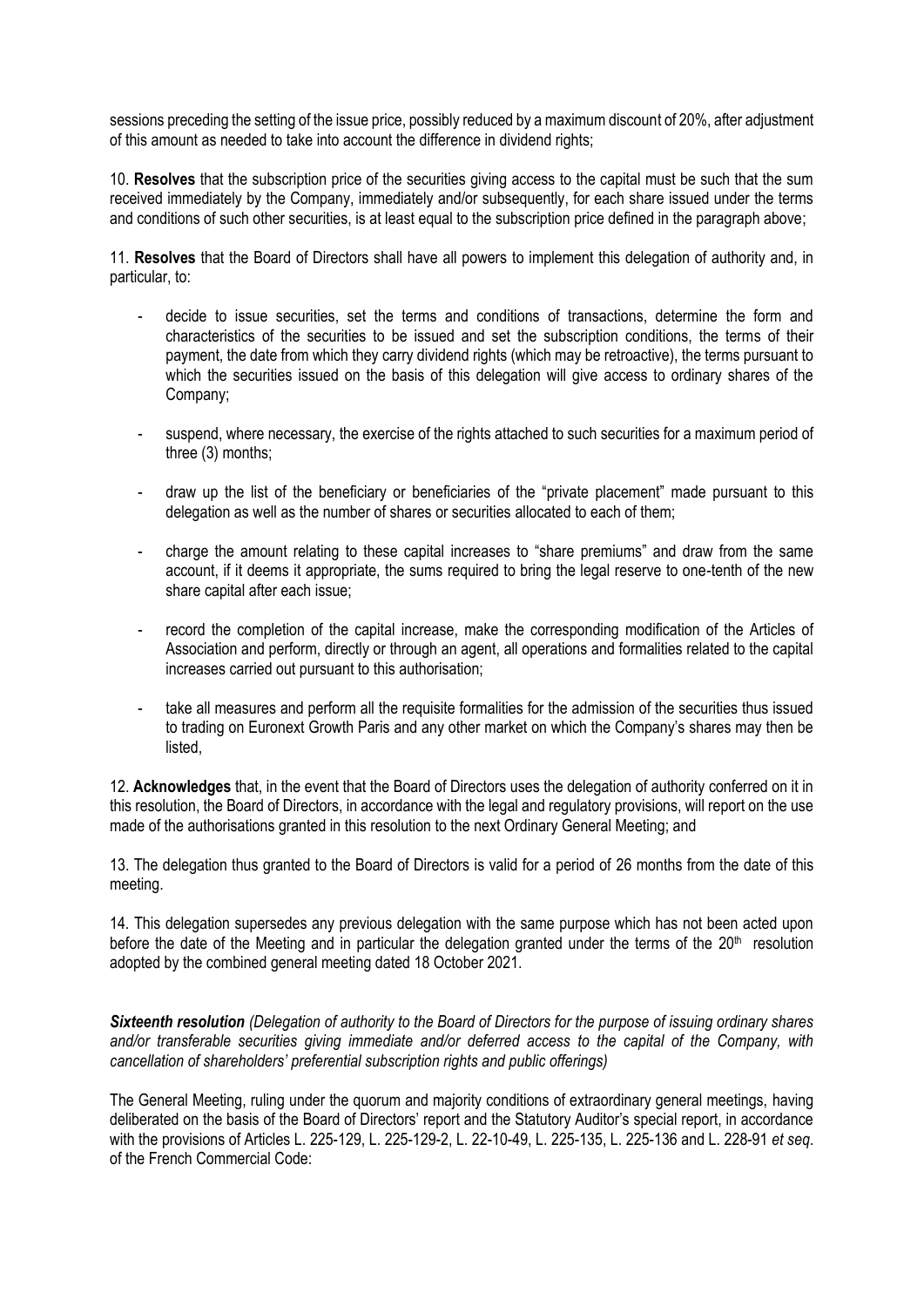sessions preceding the setting of the issue price, possibly reduced by a maximum discount of 20%, after adjustment of this amount as needed to take into account the difference in dividend rights;

10. **Resolves** that the subscription price of the securities giving access to the capital must be such that the sum received immediately by the Company, immediately and/or subsequently, for each share issued under the terms and conditions of such other securities, is at least equal to the subscription price defined in the paragraph above;

11. **Resolves** that the Board of Directors shall have all powers to implement this delegation of authority and, in particular, to:

- decide to issue securities, set the terms and conditions of transactions, determine the form and characteristics of the securities to be issued and set the subscription conditions, the terms of their payment, the date from which they carry dividend rights (which may be retroactive), the terms pursuant to which the securities issued on the basis of this delegation will give access to ordinary shares of the Company;
- suspend, where necessary, the exercise of the rights attached to such securities for a maximum period of three (3) months;
- draw up the list of the beneficiary or beneficiaries of the "private placement" made pursuant to this delegation as well as the number of shares or securities allocated to each of them;
- charge the amount relating to these capital increases to "share premiums" and draw from the same account, if it deems it appropriate, the sums required to bring the legal reserve to one-tenth of the new share capital after each issue;
- record the completion of the capital increase, make the corresponding modification of the Articles of Association and perform, directly or through an agent, all operations and formalities related to the capital increases carried out pursuant to this authorisation;
- take all measures and perform all the requisite formalities for the admission of the securities thus issued to trading on Euronext Growth Paris and any other market on which the Company's shares may then be listed,

12. **Acknowledges** that, in the event that the Board of Directors uses the delegation of authority conferred on it in this resolution, the Board of Directors, in accordance with the legal and regulatory provisions, will report on the use made of the authorisations granted in this resolution to the next Ordinary General Meeting; and

13. The delegation thus granted to the Board of Directors is valid for a period of 26 months from the date of this meeting.

14. This delegation supersedes any previous delegation with the same purpose which has not been acted upon before the date of the Meeting and in particular the delegation granted under the terms of the 20<sup>th</sup> resolution adopted by the combined general meeting dated 18 October 2021.

*Sixteenth resolution (Delegation of authority to the Board of Directors for the purpose of issuing ordinary shares and/or transferable securities giving immediate and/or deferred access to the capital of the Company, with cancellation of shareholders' preferential subscription rights and public offerings)*

The General Meeting, ruling under the quorum and majority conditions of extraordinary general meetings, having deliberated on the basis of the Board of Directors' report and the Statutory Auditor's special report, in accordance with the provisions of Articles L. 225-129, L. 225-129-2, L. 22-10-49, L. 225-135, L. 225-136 and L. 228-91 *et seq*. of the French Commercial Code: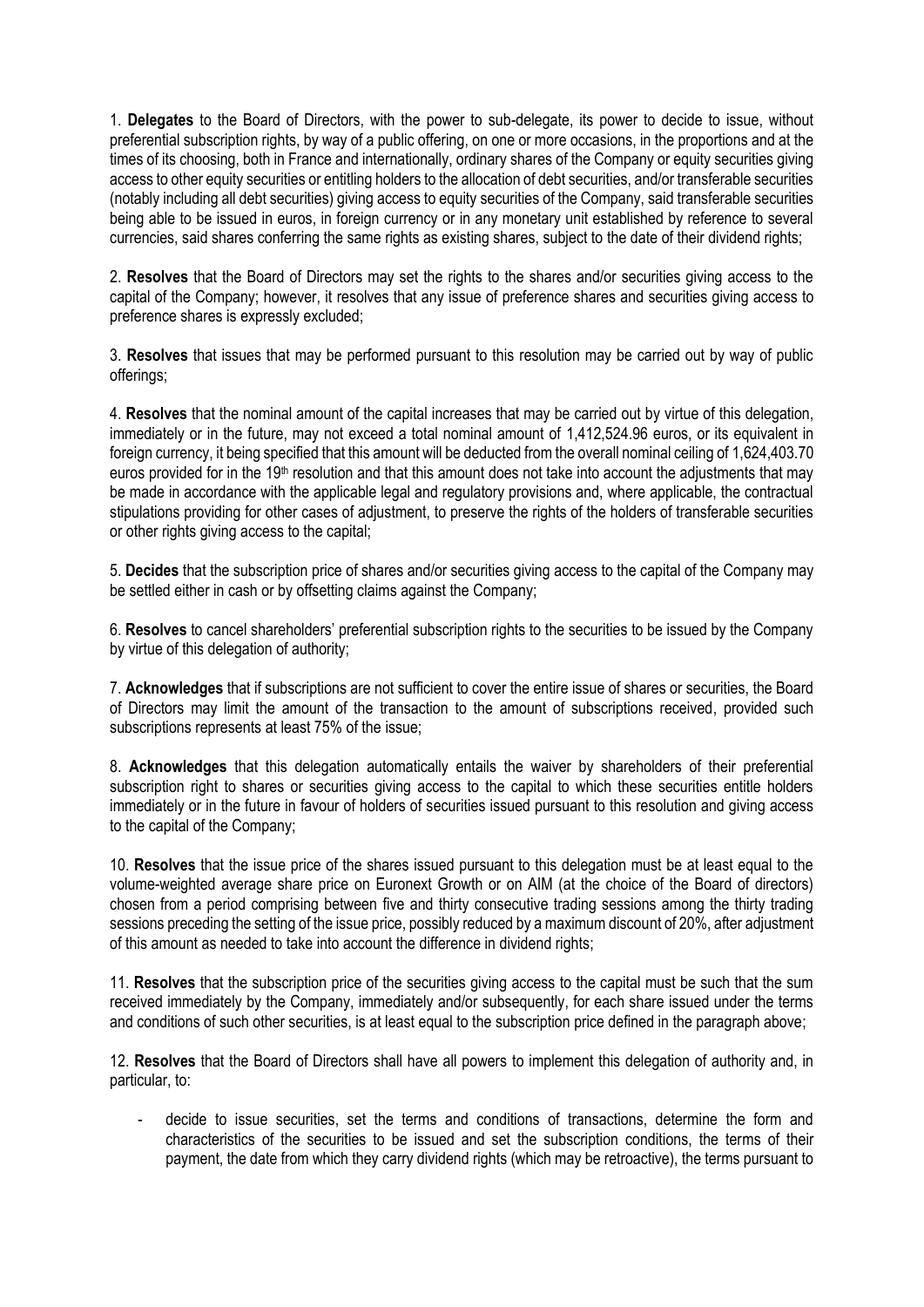1. **Delegates** to the Board of Directors, with the power to sub-delegate, its power to decide to issue, without preferential subscription rights, by way of a public offering, on one or more occasions, in the proportions and at the times of its choosing, both in France and internationally, ordinary shares of the Company or equity securities giving access to other equity securities or entitling holders to the allocation of debt securities, and/or transferable securities (notably including all debt securities) giving access to equity securities of the Company, said transferable securities being able to be issued in euros, in foreign currency or in any monetary unit established by reference to several currencies, said shares conferring the same rights as existing shares, subject to the date of their dividend rights;

2. **Resolves** that the Board of Directors may set the rights to the shares and/or securities giving access to the capital of the Company; however, it resolves that any issue of preference shares and securities giving access to preference shares is expressly excluded;

3. **Resolves** that issues that may be performed pursuant to this resolution may be carried out by way of public offerings;

4. **Resolves** that the nominal amount of the capital increases that may be carried out by virtue of this delegation, immediately or in the future, may not exceed a total nominal amount of 1,412,524.96 euros, or its equivalent in foreign currency, it being specified that this amount will be deducted from the overall nominal ceiling of 1,624,403.70 euros provided for in the 19<sup>th</sup> resolution and that this amount does not take into account the adjustments that may be made in accordance with the applicable legal and regulatory provisions and, where applicable, the contractual stipulations providing for other cases of adjustment, to preserve the rights of the holders of transferable securities or other rights giving access to the capital;

5. **Decides** that the subscription price of shares and/or securities giving access to the capital of the Company may be settled either in cash or by offsetting claims against the Company;

6. **Resolves** to cancel shareholders' preferential subscription rights to the securities to be issued by the Company by virtue of this delegation of authority;

7. **Acknowledges** that if subscriptions are not sufficient to cover the entire issue of shares or securities, the Board of Directors may limit the amount of the transaction to the amount of subscriptions received, provided such subscriptions represents at least 75% of the issue;

8. **Acknowledges** that this delegation automatically entails the waiver by shareholders of their preferential subscription right to shares or securities giving access to the capital to which these securities entitle holders immediately or in the future in favour of holders of securities issued pursuant to this resolution and giving access to the capital of the Company;

10. **Resolves** that the issue price of the shares issued pursuant to this delegation must be at least equal to the volume-weighted average share price on Euronext Growth or on AIM (at the choice of the Board of directors) chosen from a period comprising between five and thirty consecutive trading sessions among the thirty trading sessions preceding the setting of the issue price, possibly reduced by a maximum discount of 20%, after adjustment of this amount as needed to take into account the difference in dividend rights;

11. **Resolves** that the subscription price of the securities giving access to the capital must be such that the sum received immediately by the Company, immediately and/or subsequently, for each share issued under the terms and conditions of such other securities, is at least equal to the subscription price defined in the paragraph above;

12. **Resolves** that the Board of Directors shall have all powers to implement this delegation of authority and, in particular, to:

decide to issue securities, set the terms and conditions of transactions, determine the form and characteristics of the securities to be issued and set the subscription conditions, the terms of their payment, the date from which they carry dividend rights (which may be retroactive), the terms pursuant to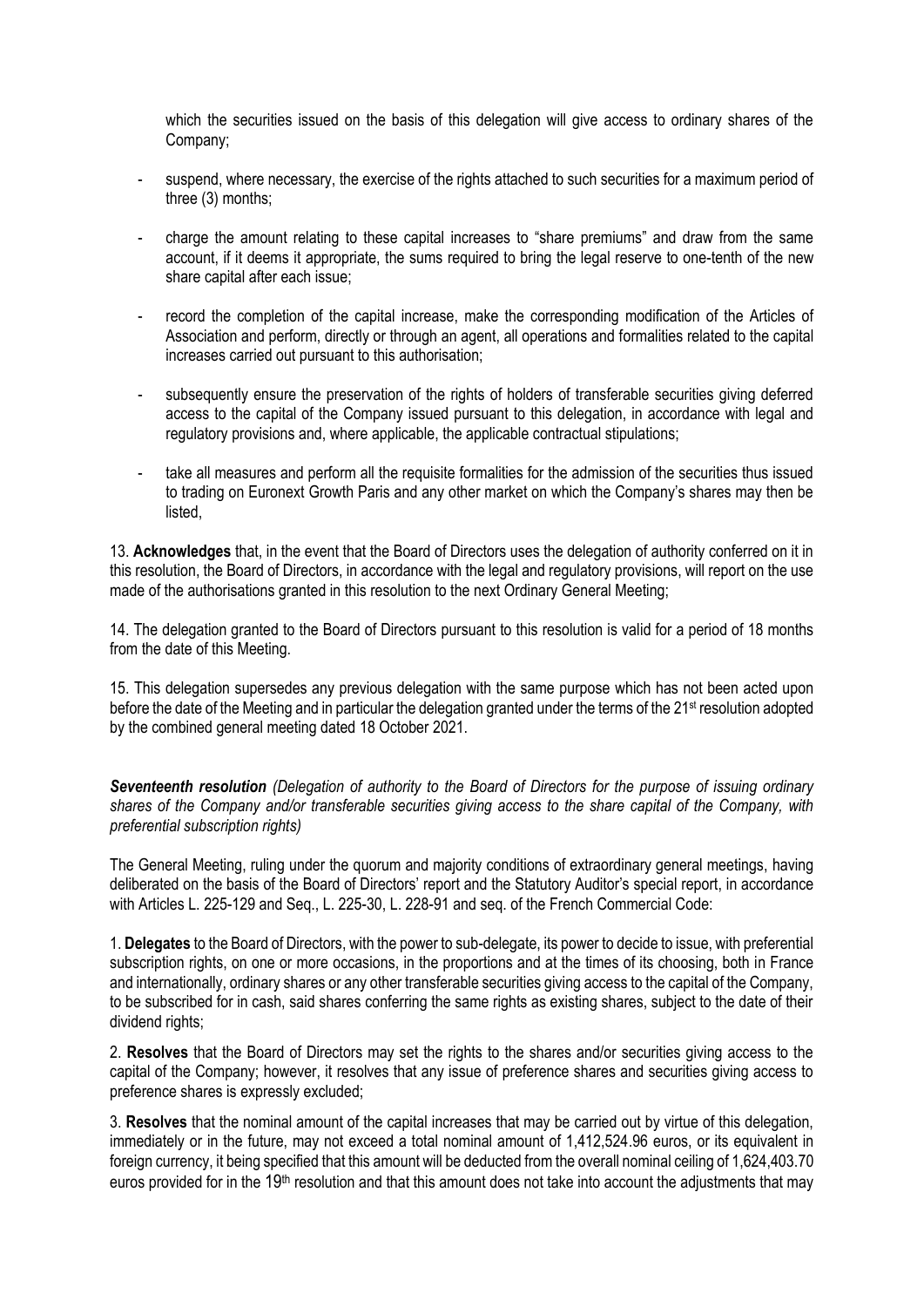which the securities issued on the basis of this delegation will give access to ordinary shares of the Company;

- suspend, where necessary, the exercise of the rights attached to such securities for a maximum period of three (3) months;
- charge the amount relating to these capital increases to "share premiums" and draw from the same account, if it deems it appropriate, the sums required to bring the legal reserve to one-tenth of the new share capital after each issue;
- record the completion of the capital increase, make the corresponding modification of the Articles of Association and perform, directly or through an agent, all operations and formalities related to the capital increases carried out pursuant to this authorisation;
- subsequently ensure the preservation of the rights of holders of transferable securities giving deferred access to the capital of the Company issued pursuant to this delegation, in accordance with legal and regulatory provisions and, where applicable, the applicable contractual stipulations;
- take all measures and perform all the requisite formalities for the admission of the securities thus issued to trading on Euronext Growth Paris and any other market on which the Company's shares may then be listed,

13. **Acknowledges** that, in the event that the Board of Directors uses the delegation of authority conferred on it in this resolution, the Board of Directors, in accordance with the legal and regulatory provisions, will report on the use made of the authorisations granted in this resolution to the next Ordinary General Meeting;

14. The delegation granted to the Board of Directors pursuant to this resolution is valid for a period of 18 months from the date of this Meeting.

15. This delegation supersedes any previous delegation with the same purpose which has not been acted upon before the date of the Meeting and in particular the delegation granted under the terms of the 21<sup>st</sup> resolution adopted by the combined general meeting dated 18 October 2021.

*Seventeenth resolution (Delegation of authority to the Board of Directors for the purpose of issuing ordinary shares of the Company and/or transferable securities giving access to the share capital of the Company, with preferential subscription rights)*

The General Meeting, ruling under the quorum and majority conditions of extraordinary general meetings, having deliberated on the basis of the Board of Directors' report and the Statutory Auditor's special report, in accordance with Articles L. 225-129 and Seq., L. 225-30, L. 228-91 and seq. of the French Commercial Code:

1. **Delegates** to the Board of Directors, with the power to sub-delegate, its power to decide to issue, with preferential subscription rights, on one or more occasions, in the proportions and at the times of its choosing, both in France and internationally, ordinary shares or any other transferable securities giving access to the capital of the Company, to be subscribed for in cash, said shares conferring the same rights as existing shares, subject to the date of their dividend rights;

2. **Resolves** that the Board of Directors may set the rights to the shares and/or securities giving access to the capital of the Company; however, it resolves that any issue of preference shares and securities giving access to preference shares is expressly excluded;

3. **Resolves** that the nominal amount of the capital increases that may be carried out by virtue of this delegation, immediately or in the future, may not exceed a total nominal amount of 1,412,524.96 euros, or its equivalent in foreign currency, it being specified that this amount will be deducted from the overall nominal ceiling of 1,624,403.70 euros provided for in the 19<sup>th</sup> resolution and that this amount does not take into account the adjustments that may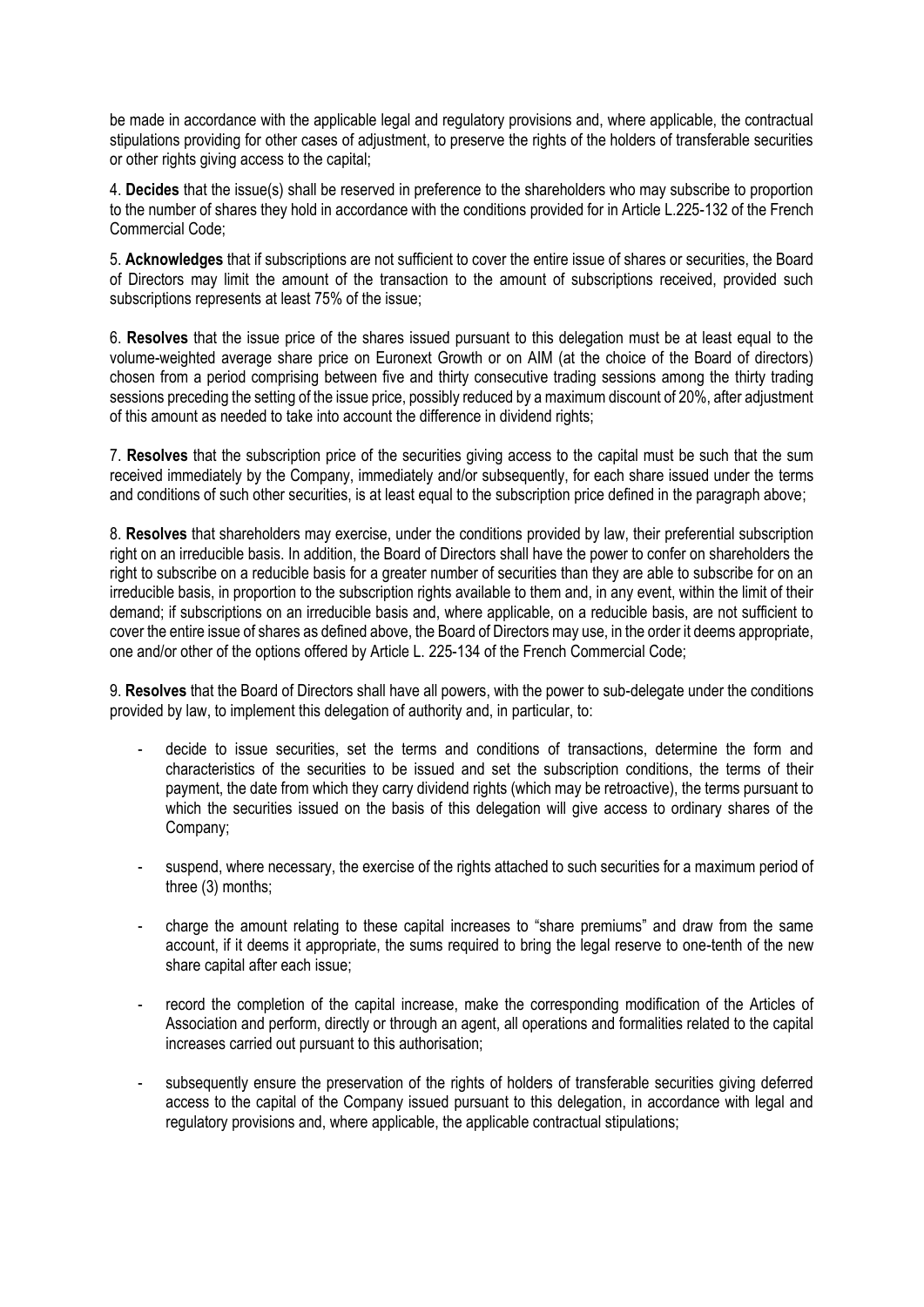be made in accordance with the applicable legal and regulatory provisions and, where applicable, the contractual stipulations providing for other cases of adjustment, to preserve the rights of the holders of transferable securities or other rights giving access to the capital;

4. **Decides** that the issue(s) shall be reserved in preference to the shareholders who may subscribe to proportion to the number of shares they hold in accordance with the conditions provided for in Article L.225-132 of the French Commercial Code;

5. **Acknowledges** that if subscriptions are not sufficient to cover the entire issue of shares or securities, the Board of Directors may limit the amount of the transaction to the amount of subscriptions received, provided such subscriptions represents at least 75% of the issue;

6. **Resolves** that the issue price of the shares issued pursuant to this delegation must be at least equal to the volume-weighted average share price on Euronext Growth or on AIM (at the choice of the Board of directors) chosen from a period comprising between five and thirty consecutive trading sessions among the thirty trading sessions preceding the setting of the issue price, possibly reduced by a maximum discount of 20%, after adjustment of this amount as needed to take into account the difference in dividend rights;

7. **Resolves** that the subscription price of the securities giving access to the capital must be such that the sum received immediately by the Company, immediately and/or subsequently, for each share issued under the terms and conditions of such other securities, is at least equal to the subscription price defined in the paragraph above;

8. **Resolves** that shareholders may exercise, under the conditions provided by law, their preferential subscription right on an irreducible basis. In addition, the Board of Directors shall have the power to confer on shareholders the right to subscribe on a reducible basis for a greater number of securities than they are able to subscribe for on an irreducible basis, in proportion to the subscription rights available to them and, in any event, within the limit of their demand; if subscriptions on an irreducible basis and, where applicable, on a reducible basis, are not sufficient to cover the entire issue of shares as defined above, the Board of Directors may use, in the order it deems appropriate, one and/or other of the options offered by Article L. 225-134 of the French Commercial Code;

9. **Resolves** that the Board of Directors shall have all powers, with the power to sub-delegate under the conditions provided by law, to implement this delegation of authority and, in particular, to:

- decide to issue securities, set the terms and conditions of transactions, determine the form and characteristics of the securities to be issued and set the subscription conditions, the terms of their payment, the date from which they carry dividend rights (which may be retroactive), the terms pursuant to which the securities issued on the basis of this delegation will give access to ordinary shares of the Company;
- suspend, where necessary, the exercise of the rights attached to such securities for a maximum period of three (3) months;
- charge the amount relating to these capital increases to "share premiums" and draw from the same account, if it deems it appropriate, the sums required to bring the legal reserve to one-tenth of the new share capital after each issue;
- record the completion of the capital increase, make the corresponding modification of the Articles of Association and perform, directly or through an agent, all operations and formalities related to the capital increases carried out pursuant to this authorisation;
- subsequently ensure the preservation of the rights of holders of transferable securities giving deferred access to the capital of the Company issued pursuant to this delegation, in accordance with legal and regulatory provisions and, where applicable, the applicable contractual stipulations;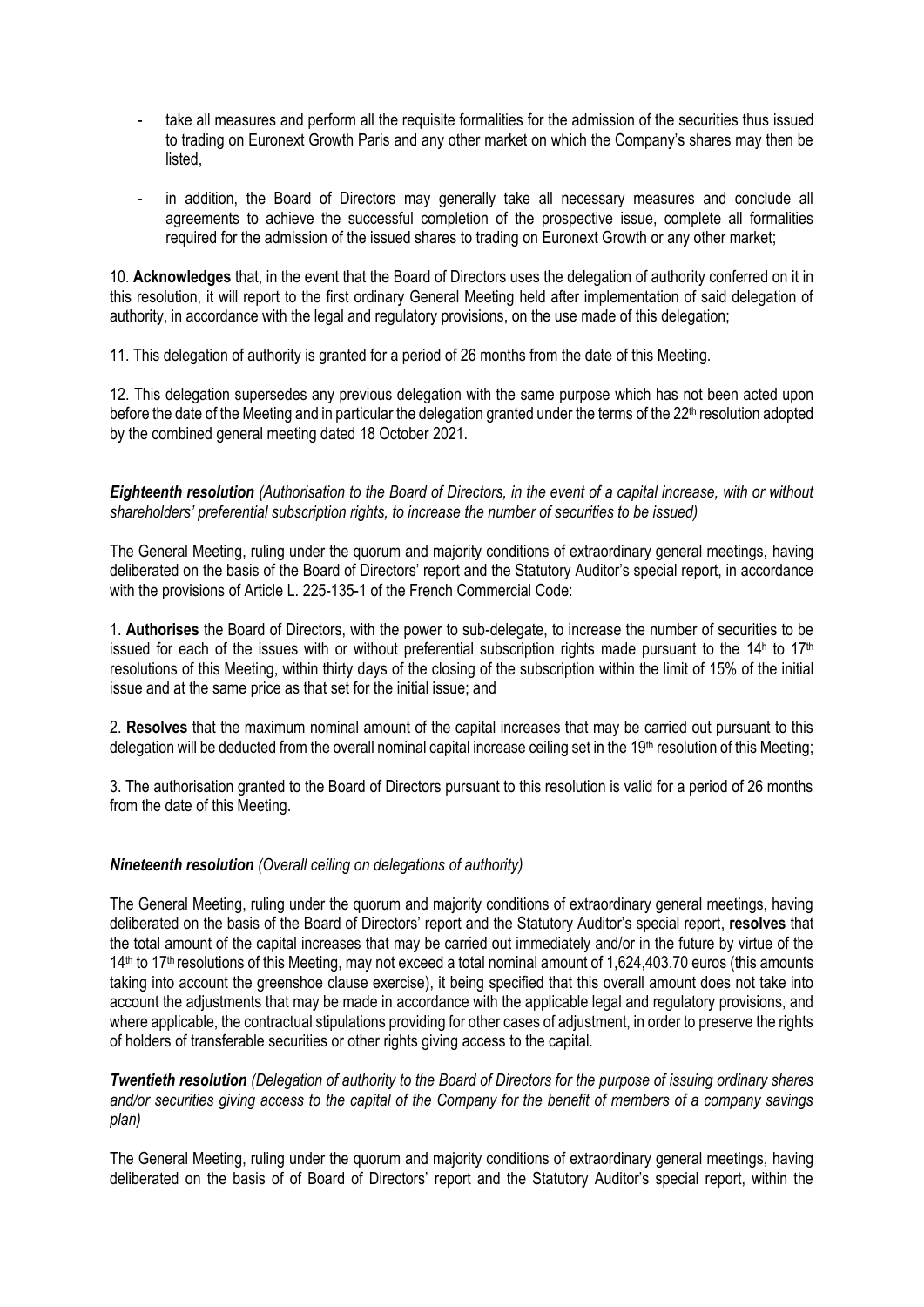- take all measures and perform all the requisite formalities for the admission of the securities thus issued to trading on Euronext Growth Paris and any other market on which the Company's shares may then be listed,
- in addition, the Board of Directors may generally take all necessary measures and conclude all agreements to achieve the successful completion of the prospective issue, complete all formalities required for the admission of the issued shares to trading on Euronext Growth or any other market;

10. **Acknowledges** that, in the event that the Board of Directors uses the delegation of authority conferred on it in this resolution, it will report to the first ordinary General Meeting held after implementation of said delegation of authority, in accordance with the legal and regulatory provisions, on the use made of this delegation;

11. This delegation of authority is granted for a period of 26 months from the date of this Meeting.

12. This delegation supersedes any previous delegation with the same purpose which has not been acted upon before the date of the Meeting and in particular the delegation granted under the terms of the  $22<sup>th</sup>$  resolution adopted by the combined general meeting dated 18 October 2021.

*Eighteenth resolution (Authorisation to the Board of Directors, in the event of a capital increase, with or without shareholders' preferential subscription rights, to increase the number of securities to be issued)*

The General Meeting, ruling under the quorum and majority conditions of extraordinary general meetings, having deliberated on the basis of the Board of Directors' report and the Statutory Auditor's special report, in accordance with the provisions of Article L. 225-135-1 of the French Commercial Code:

1. **Authorises** the Board of Directors, with the power to sub-delegate, to increase the number of securities to be issued for each of the issues with or without preferential subscription rights made pursuant to the 14<sup>h</sup> to 17<sup>th</sup> resolutions of this Meeting, within thirty days of the closing of the subscription within the limit of 15% of the initial issue and at the same price as that set for the initial issue; and

2. **Resolves** that the maximum nominal amount of the capital increases that may be carried out pursuant to this delegation will be deducted from the overall nominal capital increase ceiling set in the 19<sup>th</sup> resolution of this Meeting;

3. The authorisation granted to the Board of Directors pursuant to this resolution is valid for a period of 26 months from the date of this Meeting.

# *Nineteenth resolution (Overall ceiling on delegations of authority)*

The General Meeting, ruling under the quorum and majority conditions of extraordinary general meetings, having deliberated on the basis of the Board of Directors' report and the Statutory Auditor's special report, **resolves** that the total amount of the capital increases that may be carried out immediately and/or in the future by virtue of the 14<sup>th</sup> to 17<sup>th</sup> resolutions of this Meeting, may not exceed a total nominal amount of 1.624.403.70 euros (this amounts taking into account the greenshoe clause exercise), it being specified that this overall amount does not take into account the adjustments that may be made in accordance with the applicable legal and regulatory provisions, and where applicable, the contractual stipulations providing for other cases of adjustment, in order to preserve the rights of holders of transferable securities or other rights giving access to the capital.

*Twentieth resolution (Delegation of authority to the Board of Directors for the purpose of issuing ordinary shares and/or securities giving access to the capital of the Company for the benefit of members of a company savings plan)*

The General Meeting, ruling under the quorum and majority conditions of extraordinary general meetings, having deliberated on the basis of of Board of Directors' report and the Statutory Auditor's special report, within the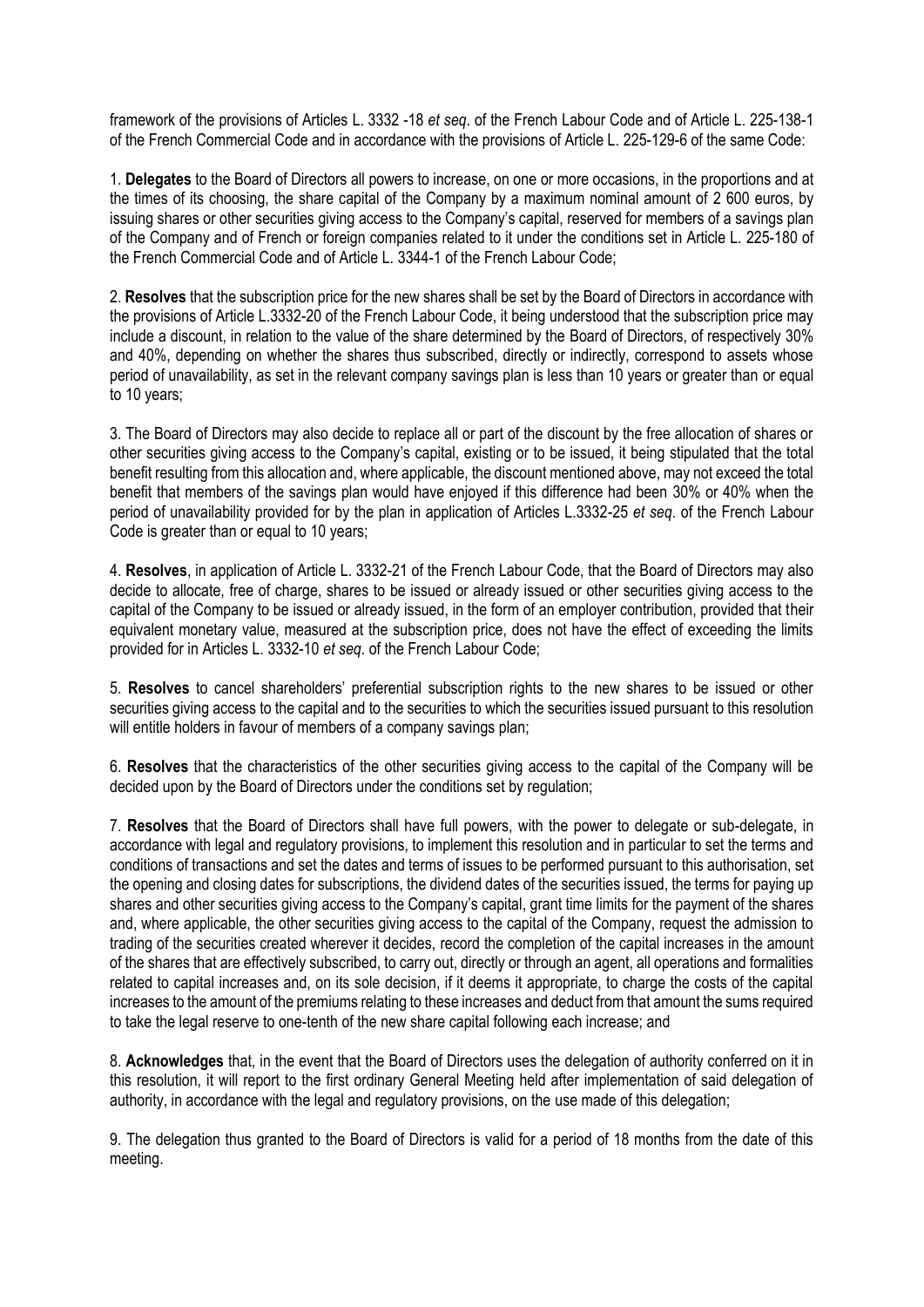framework of the provisions of Articles L. 3332 -18 *et seq*. of the French Labour Code and of Article L. 225-138-1 of the French Commercial Code and in accordance with the provisions of Article L. 225-129-6 of the same Code:

1. **Delegates** to the Board of Directors all powers to increase, on one or more occasions, in the proportions and at the times of its choosing, the share capital of the Company by a maximum nominal amount of 2 600 euros, by issuing shares or other securities giving access to the Company's capital, reserved for members of a savings plan of the Company and of French or foreign companies related to it under the conditions set in Article L. 225-180 of the French Commercial Code and of Article L. 3344-1 of the French Labour Code;

2. **Resolves** that the subscription price for the new shares shall be set by the Board of Directors in accordance with the provisions of Article L.3332-20 of the French Labour Code, it being understood that the subscription price may include a discount, in relation to the value of the share determined by the Board of Directors, of respectively 30% and 40%, depending on whether the shares thus subscribed, directly or indirectly, correspond to assets whose period of unavailability, as set in the relevant company savings plan is less than 10 years or greater than or equal to 10 years;

3. The Board of Directors may also decide to replace all or part of the discount by the free allocation of shares or other securities giving access to the Company's capital, existing or to be issued, it being stipulated that the total benefit resulting from this allocation and, where applicable, the discount mentioned above, may not exceed the total benefit that members of the savings plan would have enjoyed if this difference had been 30% or 40% when the period of unavailability provided for by the plan in application of Articles L.3332-25 *et seq*. of the French Labour Code is greater than or equal to 10 years;

4. **Resolves**, in application of Article L. 3332-21 of the French Labour Code, that the Board of Directors may also decide to allocate, free of charge, shares to be issued or already issued or other securities giving access to the capital of the Company to be issued or already issued, in the form of an employer contribution, provided that their equivalent monetary value, measured at the subscription price, does not have the effect of exceeding the limits provided for in Articles L. 3332-10 *et seq*. of the French Labour Code;

5. **Resolves** to cancel shareholders' preferential subscription rights to the new shares to be issued or other securities giving access to the capital and to the securities to which the securities issued pursuant to this resolution will entitle holders in favour of members of a company savings plan;

6. **Resolves** that the characteristics of the other securities giving access to the capital of the Company will be decided upon by the Board of Directors under the conditions set by regulation;

7. **Resolves** that the Board of Directors shall have full powers, with the power to delegate or sub-delegate, in accordance with legal and regulatory provisions, to implement this resolution and in particular to set the terms and conditions of transactions and set the dates and terms of issues to be performed pursuant to this authorisation, set the opening and closing dates for subscriptions, the dividend dates of the securities issued, the terms for paying up shares and other securities giving access to the Company's capital, grant time limits for the payment of the shares and, where applicable, the other securities giving access to the capital of the Company, request the admission to trading of the securities created wherever it decides, record the completion of the capital increases in the amount of the shares that are effectively subscribed, to carry out, directly or through an agent, all operations and formalities related to capital increases and, on its sole decision, if it deems it appropriate, to charge the costs of the capital increases to the amount of the premiums relating to these increases and deduct from that amount the sums required to take the legal reserve to one-tenth of the new share capital following each increase; and

8. **Acknowledges** that, in the event that the Board of Directors uses the delegation of authority conferred on it in this resolution, it will report to the first ordinary General Meeting held after implementation of said delegation of authority, in accordance with the legal and regulatory provisions, on the use made of this delegation;

9. The delegation thus granted to the Board of Directors is valid for a period of 18 months from the date of this meeting.